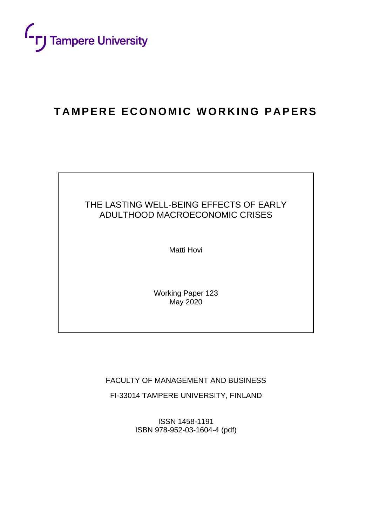

## **TAMPERE ECONOMIC WORKING PAPERS**

## THE LASTING WELL-BEING EFFECTS OF EARLY ADULTHOOD MACROECONOMIC CRISES

Matti Hovi

Working Paper 123 May 2020

FACULTY OF MANAGEMENT AND BUSINESS

FI-33014 TAMPERE UNIVERSITY, FINLAND

ISSN 1458-1191 ISBN 978-952-03-1604-4 (pdf)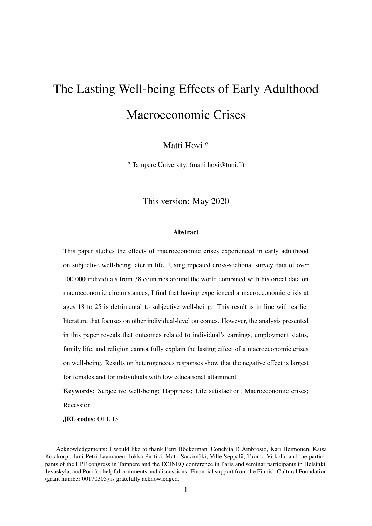## The Lasting Well-being Effects of Early Adulthood Macroeconomic Crises

Matti Hovi $^a$ 

<sup>*a*</sup> Tampere University. (matti.hovi@tuni.fi)

This version: May 2020

#### **Abstract**

This paper studies the effects of macroeconomic crises experienced in early adulthood on subjective well-being later in life. Using repeated cross-sectional survey data of over 100 000 individuals from 38 countries around the world combined with historical data on macroeconomic circumstances, I find that having experienced a macroeconomic crisis at ages 18 to 25 is detrimental to subjective well-being. This result is in line with earlier literature that focuses on other individual-level outcomes. However, the analysis presented in this paper reveals that outcomes related to individual's earnings, employment status, family life, and religion cannot fully explain the lasting effect of a macroeconomic crises on well-being. Results on heterogeneous responses show that the negative effect is largest for females and for individuals with low educational attainment.

Keywords: Subjective well-being; Happiness; Life satisfaction; Macroeconomic crises; Recession

JEL codes: O11, I31

Acknowledgements: I would like to thank Petri Böckerman, Conchita D'Ambrosio, Kari Heimonen, Kaisa Kotakorpi, Jani-Petri Laamanen, Jukka Pirttilä, Matti Sarvimäki, Ville Seppälä, Tuomo Virkola, and the participants of the IIPF congress in Tampere and the ECINEQ conference in Paris and seminar participants in Helsinki, Jyväskylä, and Pori for helpful comments and discussions. Financial support from the Finnish Cultural Foundation (grant number 00170305) is gratefully acknowledged.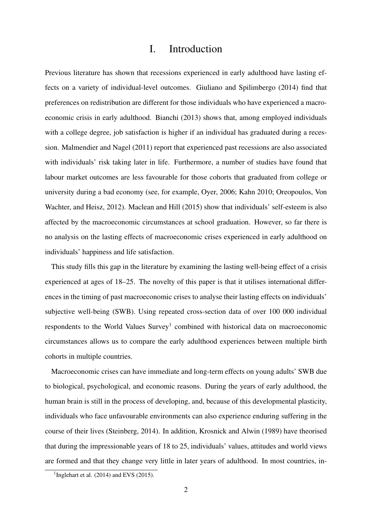## I. Introduction

Previous literature has shown that recessions experienced in early adulthood have lasting effects on a variety of individual-level outcomes. Giuliano and Spilimbergo (2014) find that preferences on redistribution are different for those individuals who have experienced a macroeconomic crisis in early adulthood. Bianchi (2013) shows that, among employed individuals with a college degree, job satisfaction is higher if an individual has graduated during a recession. Malmendier and Nagel (2011) report that experienced past recessions are also associated with individuals' risk taking later in life. Furthermore, a number of studies have found that labour market outcomes are less favourable for those cohorts that graduated from college or university during a bad economy (see, for example, Oyer, 2006; Kahn 2010; Oreopoulos, Von Wachter, and Heisz, 2012). Maclean and Hill (2015) show that individuals' self-esteem is also affected by the macroeconomic circumstances at school graduation. However, so far there is no analysis on the lasting effects of macroeconomic crises experienced in early adulthood on individuals' happiness and life satisfaction.

This study fills this gap in the literature by examining the lasting well-being effect of a crisis experienced at ages of 18–25. The novelty of this paper is that it utilises international differences in the timing of past macroeconomic crises to analyse their lasting effects on individuals' subjective well-being (SWB). Using repeated cross-section data of over 100 000 individual respondents to the World Values Survey<sup>1</sup> combined with historical data on macroeconomic circumstances allows us to compare the early adulthood experiences between multiple birth cohorts in multiple countries.

Macroeconomic crises can have immediate and long-term effects on young adults' SWB due to biological, psychological, and economic reasons. During the years of early adulthood, the human brain is still in the process of developing, and, because of this developmental plasticity, individuals who face unfavourable environments can also experience enduring suffering in the course of their lives (Steinberg, 2014). In addition, Krosnick and Alwin (1989) have theorised that during the impressionable years of 18 to 25, individuals' values, attitudes and world views are formed and that they change very little in later years of adulthood. In most countries, in-

<sup>&</sup>lt;sup>1</sup>Inglehart et al.  $(2014)$  and EVS  $(2015)$ .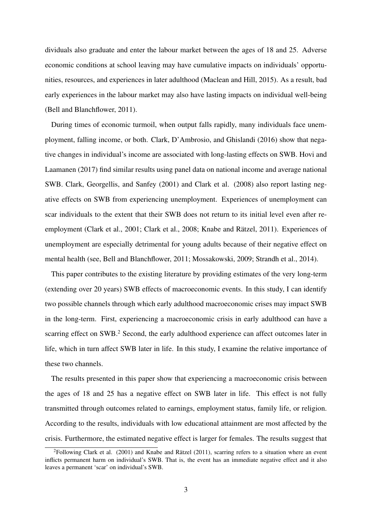dividuals also graduate and enter the labour market between the ages of 18 and 25. Adverse economic conditions at school leaving may have cumulative impacts on individuals' opportunities, resources, and experiences in later adulthood (Maclean and Hill, 2015). As a result, bad early experiences in the labour market may also have lasting impacts on individual well-being (Bell and Blanchflower, 2011).

During times of economic turmoil, when output falls rapidly, many individuals face unemployment, falling income, or both. Clark, D'Ambrosio, and Ghislandi (2016) show that negative changes in individual's income are associated with long-lasting effects on SWB. Hovi and Laamanen (2017) find similar results using panel data on national income and average national SWB. Clark, Georgellis, and Sanfey (2001) and Clark et al. (2008) also report lasting negative effects on SWB from experiencing unemployment. Experiences of unemployment can scar individuals to the extent that their SWB does not return to its initial level even after reemployment (Clark et al., 2001; Clark et al., 2008; Knabe and Rätzel, 2011). Experiences of unemployment are especially detrimental for young adults because of their negative effect on mental health (see, Bell and Blanchflower, 2011; Mossakowski, 2009; Strandh et al., 2014).

This paper contributes to the existing literature by providing estimates of the very long-term (extending over 20 years) SWB effects of macroeconomic events. In this study, I can identify two possible channels through which early adulthood macroeconomic crises may impact SWB in the long-term. First, experiencing a macroeconomic crisis in early adulthood can have a scarring effect on SWB.<sup>2</sup> Second, the early adulthood experience can affect outcomes later in life, which in turn affect SWB later in life. In this study, I examine the relative importance of these two channels.

The results presented in this paper show that experiencing a macroeconomic crisis between the ages of 18 and 25 has a negative effect on SWB later in life. This effect is not fully transmitted through outcomes related to earnings, employment status, family life, or religion. According to the results, individuals with low educational attainment are most affected by the crisis. Furthermore, the estimated negative effect is larger for females. The results suggest that

<sup>&</sup>lt;sup>2</sup>Following Clark et al. (2001) and Knabe and Rätzel (2011), scarring refers to a situation where an event inflicts permanent harm on individual's SWB. That is, the event has an immediate negative effect and it also leaves a permanent 'scar' on individual's SWB.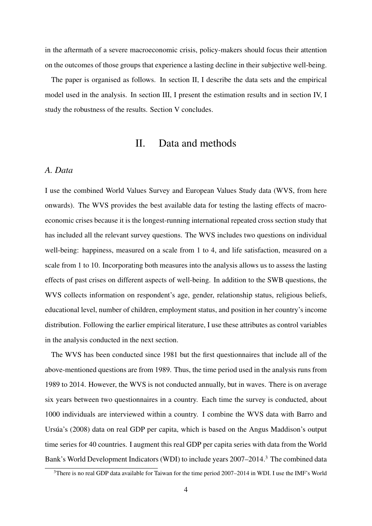in the aftermath of a severe macroeconomic crisis, policy-makers should focus their attention on the outcomes of those groups that experience a lasting decline in their subjective well-being.

The paper is organised as follows. In section II, I describe the data sets and the empirical model used in the analysis. In section III, I present the estimation results and in section IV, I study the robustness of the results. Section V concludes.

## II. Data and methods

#### *A. Data*

I use the combined World Values Survey and European Values Study data (WVS, from here onwards). The WVS provides the best available data for testing the lasting effects of macroeconomic crises because it is the longest-running international repeated cross section study that has included all the relevant survey questions. The WVS includes two questions on individual well-being: happiness, measured on a scale from 1 to 4, and life satisfaction, measured on a scale from 1 to 10. Incorporating both measures into the analysis allows us to assess the lasting effects of past crises on different aspects of well-being. In addition to the SWB questions, the WVS collects information on respondent's age, gender, relationship status, religious beliefs, educational level, number of children, employment status, and position in her country's income distribution. Following the earlier empirical literature, I use these attributes as control variables in the analysis conducted in the next section.

The WVS has been conducted since 1981 but the first questionnaires that include all of the above-mentioned questions are from 1989. Thus, the time period used in the analysis runs from 1989 to 2014. However, the WVS is not conducted annually, but in waves. There is on average six years between two questionnaires in a country. Each time the survey is conducted, about 1000 individuals are interviewed within a country. I combine the WVS data with Barro and Ursúa's (2008) data on real GDP per capita, which is based on the Angus Maddison's output time series for 40 countries. I augment this real GDP per capita series with data from the World Bank's World Development Indicators (WDI) to include years 2007–2014.<sup>3</sup> The combined data

<sup>&</sup>lt;sup>3</sup>There is no real GDP data available for Taiwan for the time period 2007–2014 in WDI. I use the IMF's World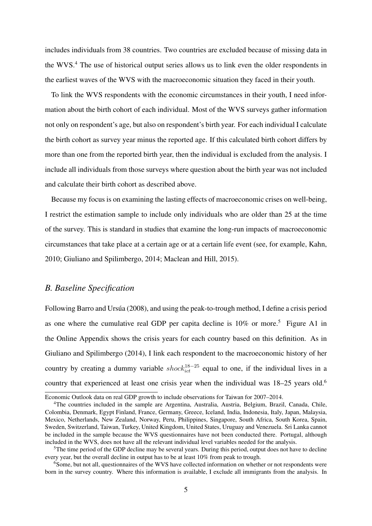includes individuals from 38 countries. Two countries are excluded because of missing data in the WVS.<sup>4</sup> The use of historical output series allows us to link even the older respondents in the earliest waves of the WVS with the macroeconomic situation they faced in their youth.

To link the WVS respondents with the economic circumstances in their youth, I need information about the birth cohort of each individual. Most of the WVS surveys gather information not only on respondent's age, but also on respondent's birth year. For each individual I calculate the birth cohort as survey year minus the reported age. If this calculated birth cohort differs by more than one from the reported birth year, then the individual is excluded from the analysis. I include all individuals from those surveys where question about the birth year was not included and calculate their birth cohort as described above.

Because my focus is on examining the lasting effects of macroeconomic crises on well-being, I restrict the estimation sample to include only individuals who are older than 25 at the time of the survey. This is standard in studies that examine the long-run impacts of macroeconomic circumstances that take place at a certain age or at a certain life event (see, for example, Kahn, 2010; Giuliano and Spilimbergo, 2014; Maclean and Hill, 2015).

### *B. Baseline Specification*

Following Barro and Ursúa (2008), and using the peak-to-trough method, I define a crisis period as one where the cumulative real GDP per capita decline is  $10\%$  or more.<sup>5</sup> Figure A1 in the Online Appendix shows the crisis years for each country based on this definition. As in Giuliano and Spilimbergo (2014), I link each respondent to the macroeconomic history of her country by creating a dummy variable  $shock_{ict}^{18-25}$  equal to one, if the individual lives in a country that experienced at least one crisis year when the individual was 18–25 years old.<sup>6</sup>

Economic Outlook data on real GDP growth to include observations for Taiwan for 2007–2014.

<sup>4</sup>The countries included in the sample are Argentina, Australia, Austria, Belgium, Brazil, Canada, Chile, Colombia, Denmark, Egypt Finland, France, Germany, Greece, Iceland, India, Indonesia, Italy, Japan, Malaysia, Mexico, Netherlands, New Zealand, Norway, Peru, Philippines, Singapore, South Africa, South Korea, Spain, Sweden, Switzerland, Taiwan, Turkey, United Kingdom, United States, Uruguay and Venezuela. Sri Lanka cannot be included in the sample because the WVS questionnaires have not been conducted there. Portugal, although included in the WVS, does not have all the relevant individual level variables needed for the analysis.

<sup>&</sup>lt;sup>5</sup>The time period of the GDP decline may be several years. During this period, output does not have to decline every year, but the overall decline in output has to be at least 10% from peak to trough.

<sup>&</sup>lt;sup>6</sup>Some, but not all, questionnaires of the WVS have collected information on whether or not respondents were born in the survey country. Where this information is available, I exclude all immigrants from the analysis. In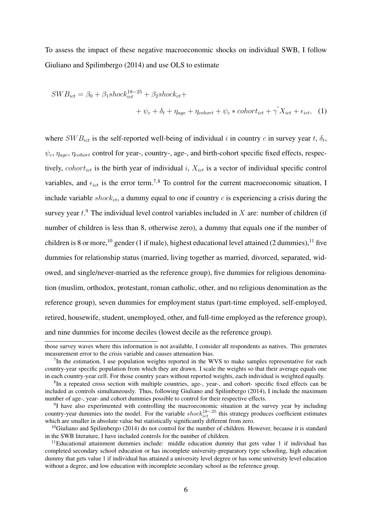To assess the impact of these negative macroeconomic shocks on individual SWB, I follow Giuliano and Spilimbergo (2014) and use OLS to estimate

$$
SWB_{ict} = \beta_0 + \beta_1 shock_{ict}^{18-25} + \beta_2 shock_{ct} +
$$
  
+  $\psi_c + \delta_t + \eta_{age} + \eta_{cohort} + \psi_c * cohort_{ict} + \gamma' X_{ict} + \epsilon_{ict},$  (1)

where  $SWB_{ict}$  is the self-reported well-being of individual i in country c in survey year t,  $\delta_t$ ,  $\psi_c$ ,  $\eta_{aqe}$ ,  $\eta_{cohort}$  control for year-, country-, age-, and birth-cohort specific fixed effects, respectively, cohort<sub>ict</sub> is the birth year of individual i,  $X_{ict}$  is a vector of individual specific control variables, and  $\epsilon_{ict}$  is the error term.<sup>7,8</sup> To control for the current macroeconomic situation, I include variable  $shock_{ct}$ , a dummy equal to one if country c is experiencing a crisis during the survey year  $t$ .<sup>9</sup> The individual level control variables included in X are: number of children (if number of children is less than 8, otherwise zero), a dummy that equals one if the number of children is 8 or more,<sup>10</sup> gender (1 if male), highest educational level attained (2 dummies),<sup>11</sup> five dummies for relationship status (married, living together as married, divorced, separated, widowed, and single/never-married as the reference group), five dummies for religious denomination (muslim, orthodox, protestant, roman catholic, other, and no religious denomination as the reference group), seven dummies for employment status (part-time employed, self-employed, retired, housewife, student, unemployed, other, and full-time employed as the reference group), and nine dummies for income deciles (lowest decile as the reference group).

those survey waves where this information is not available, I consider all respondents as natives. This generates measurement error to the crisis variable and causes attenuation bias.

 $7$ In the estimation, I use population weights reported in the WVS to make samples representative for each country-year specific population from which they are drawn. I scale the weights so that their average equals one in each country-year cell. For those country years without reported weights, each individual is weighted equally.

<sup>&</sup>lt;sup>8</sup>In a repeated cross section with multiple countries, age-, year-, and cohort- specific fixed effects can be included as controls simultaneously. Thus, following Giuliano and Spilimbergo (2014), I include the maximum number of age-, year- and cohort dummies possible to control for their respective effects.

<sup>&</sup>lt;sup>9</sup>I have also experimented with controlling the macroeconomic situation at the survey year by including country-year dummies into the model. For the variable  $shock_{ict}^{18-25}$  this strategy produces coefficient estimates which are smaller in absolute value but statistically significantly different from zero.

<sup>&</sup>lt;sup>10</sup>Giuliano and Spilimbergo (2014) do not control for the number of children. However, because it is standard in the SWB literature, I have included controls for the number of children.

 $11$ Educational attainment dummies include: middle education dummy that gets value 1 if individual has completed secondary school education or has incomplete university-preparatory type schooling, high education dummy that gets value 1 if individual has attained a university level degree or has some university level education without a degree, and low education with incomplete secondary school as the reference group.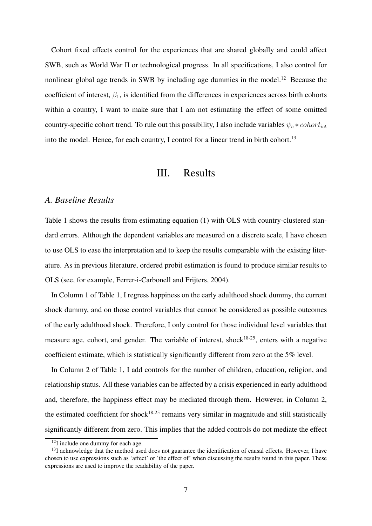Cohort fixed effects control for the experiences that are shared globally and could affect SWB, such as World War II or technological progress. In all specifications, I also control for nonlinear global age trends in SWB by including age dummies in the model.<sup>12</sup> Because the coefficient of interest,  $\beta_1$ , is identified from the differences in experiences across birth cohorts within a country, I want to make sure that I am not estimating the effect of some omitted country-specific cohort trend. To rule out this possibility, I also include variables  $\psi_c * cohort_{ict}$ into the model. Hence, for each country, I control for a linear trend in birth cohort.<sup>13</sup>

#### III. Results

#### *A. Baseline Results*

Table 1 shows the results from estimating equation (1) with OLS with country-clustered standard errors. Although the dependent variables are measured on a discrete scale, I have chosen to use OLS to ease the interpretation and to keep the results comparable with the existing literature. As in previous literature, ordered probit estimation is found to produce similar results to OLS (see, for example, Ferrer-i-Carbonell and Frijters, 2004).

In Column 1 of Table 1, I regress happiness on the early adulthood shock dummy, the current shock dummy, and on those control variables that cannot be considered as possible outcomes of the early adulthood shock. Therefore, I only control for those individual level variables that measure age, cohort, and gender. The variable of interest, shock<sup>18-25</sup>, enters with a negative coefficient estimate, which is statistically significantly different from zero at the 5% level.

In Column 2 of Table 1, I add controls for the number of children, education, religion, and relationship status. All these variables can be affected by a crisis experienced in early adulthood and, therefore, the happiness effect may be mediated through them. However, in Column 2, the estimated coefficient for shock<sup>18-25</sup> remains very similar in magnitude and still statistically significantly different from zero. This implies that the added controls do not mediate the effect

<sup>&</sup>lt;sup>12</sup>I include one dummy for each age.

<sup>&</sup>lt;sup>13</sup>I acknowledge that the method used does not guarantee the identification of causal effects. However, I have chosen to use expressions such as 'affect' or 'the effect of' when discussing the results found in this paper. These expressions are used to improve the readability of the paper.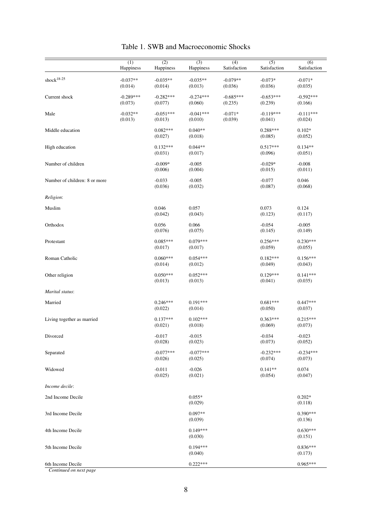|                               | (1)<br>Happiness       | (2)<br>Happiness       | $\overline{(3)}$<br>Happiness | (4)<br>Satisfaction    | (5)<br>Satisfaction    | (6)<br>Satisfaction    |
|-------------------------------|------------------------|------------------------|-------------------------------|------------------------|------------------------|------------------------|
| shock $18-25$                 | $-0.037**$<br>(0.014)  | $-0.035**$<br>(0.014)  | $-0.035**$<br>(0.013)         | $-0.079**$<br>(0.036)  | $-0.073*$<br>(0.036)   | $-0.071*$<br>(0.035)   |
| Current shock                 | $-0.289***$<br>(0.073) | $-0.282***$<br>(0.077) | $-0.274***$<br>(0.060)        | $-0.685***$<br>(0.235) | $-0.653***$<br>(0.239) | $-0.592***$<br>(0.166) |
| Male                          | $-0.032**$<br>(0.013)  | $-0.051***$<br>(0.013) | $-0.041***$<br>(0.010)        | $-0.071*$<br>(0.039)   | $-0.119***$<br>(0.041) | $-0.111***$<br>(0.024) |
| Middle education              |                        | $0.082***$<br>(0.027)  | $0.040**$<br>(0.018)          |                        | $0.288***$<br>(0.085)  | $0.102*$<br>(0.052)    |
| High education                |                        | $0.132***$<br>(0.031)  | $0.044**$<br>(0.017)          |                        | $0.517***$<br>(0.096)  | $0.134**$<br>(0.051)   |
| Number of children            |                        | $-0.009*$<br>(0.006)   | $-0.005$<br>(0.004)           |                        | $-0.029*$<br>(0.015)   | $-0.008$<br>(0.011)    |
| Number of children: 8 or more |                        | $-0.033$<br>(0.036)    | $-0.005$<br>(0.032)           |                        | $-0.077$<br>(0.087)    | 0.046<br>(0.068)       |
| Religion:                     |                        |                        |                               |                        |                        |                        |
| Muslim                        |                        | 0.046<br>(0.042)       | 0.057<br>(0.043)              |                        | 0.073<br>(0.123)       | 0.124<br>(0.117)       |
| Orthodox                      |                        | 0.056<br>(0.076)       | 0.066<br>(0.075)              |                        | $-0.054$<br>(0.145)    | $-0.005$<br>(0.149)    |
| Protestant                    |                        | $0.085***$<br>(0.017)  | $0.079***$<br>(0.017)         |                        | $0.256***$<br>(0.059)  | $0.230***$<br>(0.055)  |
| Roman Catholic                |                        | $0.060***$<br>(0.014)  | $0.054***$<br>(0.012)         |                        | $0.182***$<br>(0.049)  | $0.156***$<br>(0.043)  |
| Other religion                |                        | $0.050***$<br>(0.013)  | $0.052***$<br>(0.013)         |                        | $0.129***$<br>(0.041)  | $0.141***$<br>(0.035)  |
| Marital status:               |                        |                        |                               |                        |                        |                        |
| Married                       |                        | $0.246***$<br>(0.022)  | $0.191***$<br>(0.014)         |                        | $0.681***$<br>(0.050)  | $0.447***$<br>(0.037)  |
| Living together as married    |                        | $0.137***$<br>(0.021)  | $0.102***$<br>(0.018)         |                        | $0.363***$<br>(0.069)  | $0.215***$<br>(0.073)  |
| Divorced                      |                        | $-0.017$<br>(0.028)    | $-0.015$<br>(0.023)           |                        | $-0.034$<br>(0.073)    | $-0.023$<br>(0.052)    |
| Separated                     |                        | $-0.077***$<br>(0.026) | $-0.077***$<br>(0.025)        |                        | $-0.232***$<br>(0.074) | $-0.234***$<br>(0.073) |
| Widowed                       |                        | $-0.011$<br>(0.025)    | $-0.026$<br>(0.021)           |                        | $0.141**$<br>(0.054)   | 0.074<br>(0.047)       |
| Income decile:                |                        |                        |                               |                        |                        |                        |
| 2nd Income Decile             |                        |                        | $0.055*$<br>(0.029)           |                        |                        | $0.202*$<br>(0.118)    |
| 3rd Income Decile             |                        |                        | $0.097**$<br>(0.039)          |                        |                        | $0.390***$<br>(0.136)  |
| 4th Income Decile             |                        |                        | $0.149***$<br>(0.030)         |                        |                        | $0.630***$<br>(0.151)  |
| 5th Income Decile             |                        |                        | $0.194***$<br>(0.040)         |                        |                        | $0.836***$<br>(0.173)  |
| 6th Income Decile             |                        |                        | $0.222***$                    |                        |                        | $0.965***$             |

Table 1. SWB and Macroeconomic Shocks

*Continued on next page*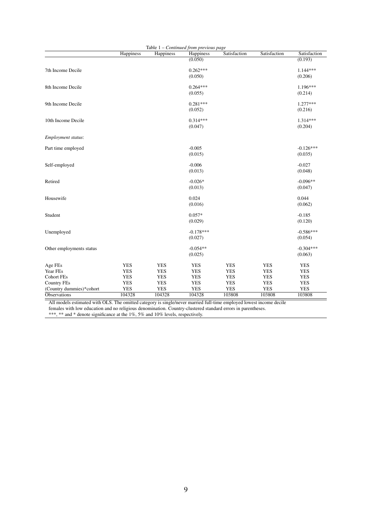|                          |            | Table $1$ – Continued from previous page |             |              |              |              |
|--------------------------|------------|------------------------------------------|-------------|--------------|--------------|--------------|
|                          | Happiness  | Happiness                                | Happiness   | Satisfaction | Satisfaction | Satisfaction |
|                          |            |                                          | (0.050)     |              |              | (0.193)      |
| 7th Income Decile        |            |                                          | $0.262***$  |              |              | $1.144***$   |
|                          |            |                                          | (0.050)     |              |              | (0.206)      |
|                          |            |                                          |             |              |              |              |
| 8th Income Decile        |            |                                          | $0.264***$  |              |              | 1.196***     |
|                          |            |                                          | (0.055)     |              |              | (0.214)      |
|                          |            |                                          |             |              |              |              |
| 9th Income Decile        |            |                                          | $0.281***$  |              |              | $1.277***$   |
|                          |            |                                          | (0.052)     |              |              | (0.216)      |
| 10th Income Decile       |            |                                          | $0.314***$  |              |              | 1.314***     |
|                          |            |                                          |             |              |              |              |
|                          |            |                                          | (0.047)     |              |              | (0.204)      |
| Employment status:       |            |                                          |             |              |              |              |
| Part time employed       |            |                                          | $-0.005$    |              |              | $-0.126***$  |
|                          |            |                                          | (0.015)     |              |              | (0.035)      |
|                          |            |                                          |             |              |              |              |
| Self-employed            |            |                                          | $-0.006$    |              |              | $-0.027$     |
|                          |            |                                          | (0.013)     |              |              | (0.048)      |
|                          |            |                                          |             |              |              |              |
| Retired                  |            |                                          | $-0.026*$   |              |              | $-0.096**$   |
|                          |            |                                          | (0.013)     |              |              | (0.047)      |
| Housewife                |            |                                          | 0.024       |              |              | 0.044        |
|                          |            |                                          | (0.016)     |              |              | (0.062)      |
|                          |            |                                          |             |              |              |              |
| Student                  |            |                                          | $0.057*$    |              |              | $-0.185$     |
|                          |            |                                          | (0.029)     |              |              | (0.120)      |
| Unemployed               |            |                                          | $-0.178***$ |              |              | $-0.586***$  |
|                          |            |                                          | (0.027)     |              |              | (0.054)      |
|                          |            |                                          |             |              |              |              |
| Other employments status |            |                                          | $-0.054**$  |              |              | $-0.304***$  |
|                          |            |                                          | (0.025)     |              |              | (0.063)      |
|                          |            |                                          |             |              |              |              |
| Age FEs                  | <b>YES</b> | <b>YES</b>                               | <b>YES</b>  | <b>YES</b>   | <b>YES</b>   | <b>YES</b>   |
| Year FEs                 | <b>YES</b> | <b>YES</b>                               | <b>YES</b>  | <b>YES</b>   | <b>YES</b>   | <b>YES</b>   |
| <b>Cohort FEs</b>        | <b>YES</b> | <b>YES</b>                               | <b>YES</b>  | <b>YES</b>   | <b>YES</b>   | <b>YES</b>   |
| <b>Country FEs</b>       | <b>YES</b> | <b>YES</b>                               | <b>YES</b>  | <b>YES</b>   | <b>YES</b>   | <b>YES</b>   |
| (Country dummies)*cohort | <b>YES</b> | <b>YES</b>                               | <b>YES</b>  | <b>YES</b>   | <b>YES</b>   | <b>YES</b>   |
| <b>Observations</b>      | 104328     | 104328                                   | 104328      | 103808       | 103808       | 103808       |

All models estimated with OLS. The omitted category is single/never married full-time employed lowest income decile

females with low education and no religious denomination. Country-clustered standard errors in parentheses.

\*\*\*, \*\* and \* denote significance at the 1%, 5% and 10% levels, respectively.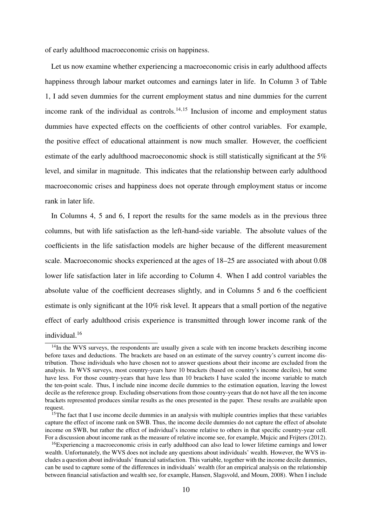of early adulthood macroeconomic crisis on happiness.

Let us now examine whether experiencing a macroeconomic crisis in early adulthood affects happiness through labour market outcomes and earnings later in life. In Column 3 of Table 1, I add seven dummies for the current employment status and nine dummies for the current income rank of the individual as controls.<sup>14,15</sup> Inclusion of income and employment status dummies have expected effects on the coefficients of other control variables. For example, the positive effect of educational attainment is now much smaller. However, the coefficient estimate of the early adulthood macroeconomic shock is still statistically significant at the 5% level, and similar in magnitude. This indicates that the relationship between early adulthood macroeconomic crises and happiness does not operate through employment status or income rank in later life.

In Columns 4, 5 and 6, I report the results for the same models as in the previous three columns, but with life satisfaction as the left-hand-side variable. The absolute values of the coefficients in the life satisfaction models are higher because of the different measurement scale. Macroeconomic shocks experienced at the ages of 18–25 are associated with about 0.08 lower life satisfaction later in life according to Column 4. When I add control variables the absolute value of the coefficient decreases slightly, and in Columns 5 and 6 the coefficient estimate is only significant at the 10% risk level. It appears that a small portion of the negative effect of early adulthood crisis experience is transmitted through lower income rank of the

individual<sup>16</sup>

<sup>&</sup>lt;sup>14</sup>In the WVS surveys, the respondents are usually given a scale with ten income brackets describing income before taxes and deductions. The brackets are based on an estimate of the survey country's current income distribution. Those individuals who have chosen not to answer questions about their income are excluded from the analysis. In WVS surveys, most country-years have 10 brackets (based on country's income deciles), but some have less. For those country-years that have less than 10 brackets I have scaled the income variable to match the ten-point scale. Thus, I include nine income decile dummies to the estimation equation, leaving the lowest decile as the reference group. Excluding observations from those country-years that do not have all the ten income brackets represented produces similar results as the ones presented in the paper. These results are available upon request.

<sup>&</sup>lt;sup>15</sup>The fact that I use income decile dummies in an analysis with multiple countries implies that these variables capture the effect of income rank on SWB. Thus, the income decile dummies do not capture the effect of absolute income on SWB, but rather the effect of individual's income relative to others in that specific country-year cell. For a discussion about income rank as the measure of relative income see, for example, Mujcic and Frijters (2012).

<sup>&</sup>lt;sup>16</sup>Experiencing a macroeconomic crisis in early adulthood can also lead to lower lifetime earnings and lower wealth. Unfortunately, the WVS does not include any questions about individuals' wealth. However, the WVS includes a question about individuals' financial satisfaction. This variable, together with the income decile dummies, can be used to capture some of the differences in individuals' wealth (for an empirical analysis on the relationship between financial satisfaction and wealth see, for example, Hansen, Slagsvold, and Moum, 2008). When I include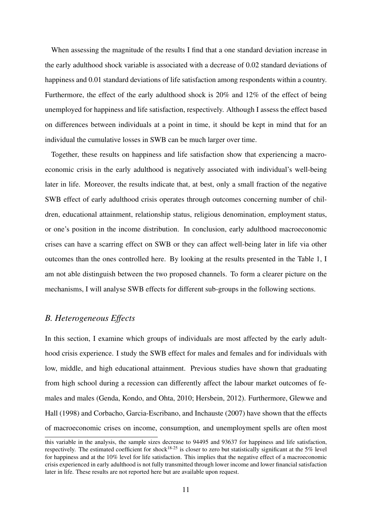When assessing the magnitude of the results I find that a one standard deviation increase in the early adulthood shock variable is associated with a decrease of 0.02 standard deviations of happiness and 0.01 standard deviations of life satisfaction among respondents within a country. Furthermore, the effect of the early adulthood shock is 20% and 12% of the effect of being unemployed for happiness and life satisfaction, respectively. Although I assess the effect based on differences between individuals at a point in time, it should be kept in mind that for an individual the cumulative losses in SWB can be much larger over time.

Together, these results on happiness and life satisfaction show that experiencing a macroeconomic crisis in the early adulthood is negatively associated with individual's well-being later in life. Moreover, the results indicate that, at best, only a small fraction of the negative SWB effect of early adulthood crisis operates through outcomes concerning number of children, educational attainment, relationship status, religious denomination, employment status, or one's position in the income distribution. In conclusion, early adulthood macroeconomic crises can have a scarring effect on SWB or they can affect well-being later in life via other outcomes than the ones controlled here. By looking at the results presented in the Table 1, I am not able distinguish between the two proposed channels. To form a clearer picture on the mechanisms, I will analyse SWB effects for different sub-groups in the following sections.

#### *B. Heterogeneous Effects*

In this section, I examine which groups of individuals are most affected by the early adulthood crisis experience. I study the SWB effect for males and females and for individuals with low, middle, and high educational attainment. Previous studies have shown that graduating from high school during a recession can differently affect the labour market outcomes of females and males (Genda, Kondo, and Ohta, 2010; Hersbein, 2012). Furthermore, Glewwe and Hall (1998) and Corbacho, Garcia-Escribano, and Inchauste (2007) have shown that the effects of macroeconomic crises on income, consumption, and unemployment spells are often most

this variable in the analysis, the sample sizes decrease to 94495 and 93637 for happiness and life satisfaction, respectively. The estimated coefficient for shock<sup>18-25</sup> is closer to zero but statistically significant at the 5% level for happiness and at the 10% level for life satisfaction. This implies that the negative effect of a macroeconomic crisis experienced in early adulthood is not fully transmitted through lower income and lower financial satisfaction later in life. These results are not reported here but are available upon request.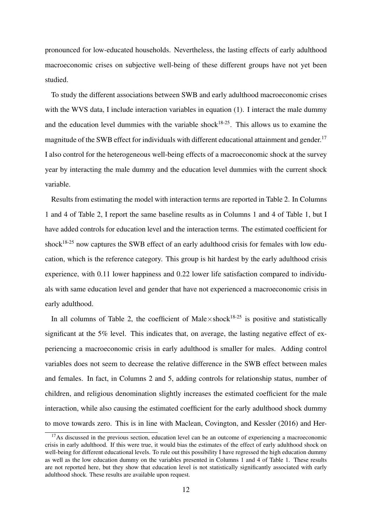pronounced for low-educated households. Nevertheless, the lasting effects of early adulthood macroeconomic crises on subjective well-being of these different groups have not yet been studied.

To study the different associations between SWB and early adulthood macroeconomic crises with the WVS data, I include interaction variables in equation (1). I interact the male dummy and the education level dummies with the variable shock<sup>18-25</sup>. This allows us to examine the magnitude of the SWB effect for individuals with different educational attainment and gender.<sup>17</sup> I also control for the heterogeneous well-being effects of a macroeconomic shock at the survey year by interacting the male dummy and the education level dummies with the current shock variable.

Results from estimating the model with interaction terms are reported in Table 2. In Columns 1 and 4 of Table 2, I report the same baseline results as in Columns 1 and 4 of Table 1, but I have added controls for education level and the interaction terms. The estimated coefficient for shock<sup>18-25</sup> now captures the SWB effect of an early adulthood crisis for females with low education, which is the reference category. This group is hit hardest by the early adulthood crisis experience, with 0.11 lower happiness and 0.22 lower life satisfaction compared to individuals with same education level and gender that have not experienced a macroeconomic crisis in early adulthood.

In all columns of Table 2, the coefficient of Male $\times$ shock<sup>18-25</sup> is positive and statistically significant at the 5% level. This indicates that, on average, the lasting negative effect of experiencing a macroeconomic crisis in early adulthood is smaller for males. Adding control variables does not seem to decrease the relative difference in the SWB effect between males and females. In fact, in Columns 2 and 5, adding controls for relationship status, number of children, and religious denomination slightly increases the estimated coefficient for the male interaction, while also causing the estimated coefficient for the early adulthood shock dummy to move towards zero. This is in line with Maclean, Covington, and Kessler (2016) and Her-

 $17$ As discussed in the previous section, education level can be an outcome of experiencing a macroeconomic crisis in early adulthood. If this were true, it would bias the estimates of the effect of early adulthood shock on well-being for different educational levels. To rule out this possibility I have regressed the high education dummy as well as the low education dummy on the variables presented in Columns 1 and 4 of Table 1. These results are not reported here, but they show that education level is not statistically significantly associated with early adulthood shock. These results are available upon request.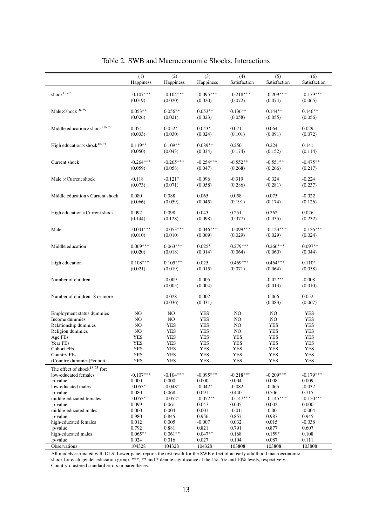|                                                  | $\overline{(1)}$<br>Happiness | (2)<br>Happiness  | $\overline{(3)}$<br>Happiness | $\overline{(4)}$<br>Satisfaction | $\overline{(5)}$<br>Satisfaction | $\overline{(6)}$<br>Satisfaction |
|--------------------------------------------------|-------------------------------|-------------------|-------------------------------|----------------------------------|----------------------------------|----------------------------------|
|                                                  |                               |                   |                               |                                  |                                  |                                  |
| shock <sup>18-25</sup>                           | $-0.107***$                   | $-0.104***$       | $-0.095***$                   | $-0.218***$                      | $-0.209***$                      | $-0.179***$                      |
|                                                  | (0.019)                       | (0.020)           | (0.020)                       | (0.072)                          | (0.074)                          | (0.065)                          |
| $Male \times shock^{18-25}$                      | $0.053**$                     | $0.056**$         | $0.053**$                     | $0.136**$                        | $0.144**$                        | $0.146**$                        |
|                                                  | (0.026)                       | (0.021)           | (0.023)                       | (0.058)                          | (0.055)                          | (0.056)                          |
|                                                  |                               |                   |                               |                                  |                                  |                                  |
| Middle education $\times$ shock <sup>18-25</sup> | 0.054                         | $0.052*$          | $0.043*$                      | 0.071                            | 0.064                            | 0.029                            |
|                                                  | (0.033)                       | (0.030)           | (0.024)                       | (0.101)                          | (0.091)                          | (0.072)                          |
|                                                  |                               |                   |                               |                                  |                                  |                                  |
| High education $\times$ shock <sup>18-25</sup>   | $0.119**$<br>(0.050)          | $0.109**$         | $0.089**$<br>(0.034)          | 0.250<br>(0.174)                 | 0.224<br>(0.152)                 | 0.141<br>(0.114)                 |
|                                                  |                               | (0.043)           |                               |                                  |                                  |                                  |
| Current shock                                    | $-0.264***$                   | $-0.265***$       | $-0.254***$                   | $-0.552**$                       | $-0.551**$                       | $-0.475**$                       |
|                                                  | (0.059)                       | (0.058)           | (0.047)                       | (0.268)                          | (0.266)                          | (0.217)                          |
|                                                  |                               |                   |                               |                                  |                                  |                                  |
| Male $\times$ Current shock                      | $-0.118$                      | $-0.121*$         | $-0.096$                      | $-0.319$                         | $-0.324$                         | $-0.224$                         |
|                                                  | (0.073)                       | (0.071)           | (0.058)                       | (0.286)                          | (0.281)                          | (0.237)                          |
| Middle education $\times$ Current shock          | 0.080                         | 0.088             | 0.065                         | 0.058                            | 0.075                            | $-0.022$                         |
|                                                  | (0.066)                       | (0.059)           | (0.045)                       | (0.191)                          | (0.174)                          | (0.126)                          |
|                                                  |                               |                   |                               |                                  |                                  |                                  |
| High education×Current shock                     | 0.092                         | 0.098             | 0.043                         | 0.251                            | 0.262                            | 0.026                            |
|                                                  | (0.144)                       | (0.128)           | (0.098)                       | (0.377)                          | (0.335)                          | (0.232)                          |
| Male                                             | $-0.041***$                   | $-0.053***$       | $-0.046***$                   | $-0.099***$                      | $-0.123***$                      | $-0.126***$                      |
|                                                  | (0.010)                       | (0.010)           | (0.009)                       | (0.029)                          | (0.029)                          | (0.024)                          |
|                                                  |                               |                   |                               |                                  |                                  |                                  |
| Middle education                                 | $0.069***$                    | $0.063***$        | $0.025*$                      | $0.279***$                       | $0.266***$                       | $0.097**$                        |
|                                                  | (0.020)                       | (0.018)           | (0.014)                       | (0.064)                          | (0.060)                          | (0.044)                          |
| High education                                   | $0.108***$                    | $0.105***$        | 0.025                         | $0.469***$                       | $0.464***$                       | $0.110*$                         |
|                                                  | (0.021)                       | (0.019)           | (0.015)                       | (0.071)                          | (0.064)                          | (0.058)                          |
| Number of children                               |                               | $-0.009$          | $-0.005$                      |                                  | $-0.027**$                       | $-0.008$                         |
|                                                  |                               | (0.005)           | (0.004)                       |                                  | (0.013)                          | (0.010)                          |
|                                                  |                               |                   |                               |                                  |                                  |                                  |
| Number of children: 8 or more                    |                               | $-0.028$          | $-0.002$                      |                                  | $-0.066$                         | 0.052                            |
|                                                  |                               | (0.036)           | (0.031)                       |                                  | (0.083)                          | (0.067)                          |
|                                                  |                               |                   |                               | NO                               |                                  |                                  |
| Employment status dummies<br>Income dummies      | NO.<br>NO                     | NO<br>NO          | YES<br><b>YES</b>             | NO                               | NO<br>NO                         | YES<br>YES                       |
| Relationship dummies                             | NO                            | YES               | <b>YES</b>                    | NO                               | <b>YES</b>                       | YES                              |
| Religion dummies                                 | NO                            | <b>YES</b>        | <b>YES</b>                    | NO                               | <b>YES</b>                       | <b>YES</b>                       |
| Age FEs                                          | YES                           | <b>YES</b>        | <b>YES</b>                    | YES                              | <b>YES</b>                       | <b>YES</b>                       |
| Year FEs                                         | <b>YES</b>                    | <b>YES</b>        | <b>YES</b>                    | <b>YES</b>                       | <b>YES</b>                       | <b>YES</b>                       |
| <b>Cohort FEs</b>                                | <b>YES</b>                    | <b>YES</b>        | <b>YES</b>                    | <b>YES</b>                       | <b>YES</b>                       | <b>YES</b>                       |
|                                                  |                               |                   |                               |                                  |                                  |                                  |
| <b>Country FEs</b>                               | YES<br><b>YES</b>             | YES<br><b>YES</b> | YES<br><b>YES</b>             | YES<br><b>YES</b>                | YES<br><b>YES</b>                | YES<br><b>YES</b>                |
| (Country dummies)*cohort                         |                               |                   |                               |                                  |                                  |                                  |
| The effect of shock <sup>18-25</sup> for:        |                               |                   |                               |                                  |                                  |                                  |
| low-educated females                             | $-0.107***$                   | $-0.104***$       | $-0.095***$                   | $-0.218***$                      | $-0.209***$                      | $-0.179***$                      |
| p-value                                          | 0.000                         | 0.000             | 0.000                         | 0.004                            | 0.008                            | 0.009                            |
| low-educated males                               | $-0.053*$                     | $-0.048*$         | $-0.042*$                     | $-0.082$                         | $-0.065$                         | $-0.032$                         |
| p-value                                          | 0.080                         | 0.068             | 0.091                         | 0.440                            | 0.506                            | 0.715                            |
| middle-educated females                          | $-0.053*$                     | $-0.052*$         | $-0.052**$                    | $-0.147***$                      | $-0.145***$                      | $-0.150***$                      |
| p-value                                          | 0.099                         | 0.061             | 0.047                         | 0.005                            | 0.002                            | 0.000                            |
| middle-educated males                            | 0.000                         | 0.004             | 0.001                         | $-0.011$                         | $-0.001$                         | $-0.004$                         |
| p-value                                          | 0.980                         | 0.845             | 0.956                         | 0.857                            | 0.987                            | 0.945                            |
| high-educated females                            | 0.012                         | 0.005             | $-0.007$                      | 0.032                            | 0.015                            | $-0.038$                         |
| p-value                                          | 0.792                         | 0.881             | 0.821                         | 0.791                            | 0.877                            | 0.607                            |
| high-educated males                              | $0.065***$                    | $0.061**$         | $0.047**$                     | 0.168                            | $0.159*$                         | 0.108                            |
| p-value                                          | 0.024                         | 0.016             | 0.027                         | 0.104                            | 0.087                            | 0.111                            |
| Observations                                     | 104328                        | 104328            | 104328                        | 103808                           | 103808                           | 103808                           |

#### Table 2. SWB and Macroeconomic Shocks, Interactions

All models estimated with OLS. Lower panel reports the test result for the SWB effect of an early adulthood macroeconomic shock for each gender-education group. \*\*\*, \*\* and \* denote significance at the 1%, 5% and 10% levels, respectively. Country-clustered standard errors in parentheses.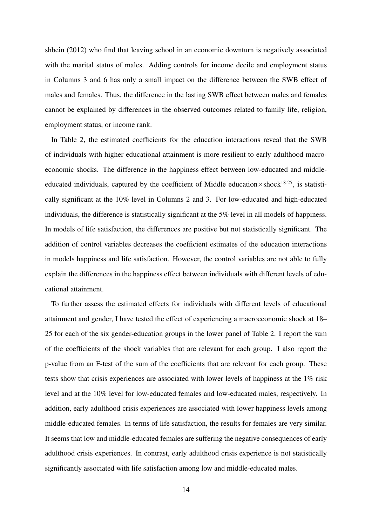shbein (2012) who find that leaving school in an economic downturn is negatively associated with the marital status of males. Adding controls for income decile and employment status in Columns 3 and 6 has only a small impact on the difference between the SWB effect of males and females. Thus, the difference in the lasting SWB effect between males and females cannot be explained by differences in the observed outcomes related to family life, religion, employment status, or income rank.

In Table 2, the estimated coefficients for the education interactions reveal that the SWB of individuals with higher educational attainment is more resilient to early adulthood macroeconomic shocks. The difference in the happiness effect between low-educated and middleeducated individuals, captured by the coefficient of Middle education $\times$ shock<sup>18-25</sup>, is statistically significant at the 10% level in Columns 2 and 3. For low-educated and high-educated individuals, the difference is statistically significant at the 5% level in all models of happiness. In models of life satisfaction, the differences are positive but not statistically significant. The addition of control variables decreases the coefficient estimates of the education interactions in models happiness and life satisfaction. However, the control variables are not able to fully explain the differences in the happiness effect between individuals with different levels of educational attainment.

To further assess the estimated effects for individuals with different levels of educational attainment and gender, I have tested the effect of experiencing a macroeconomic shock at 18– 25 for each of the six gender-education groups in the lower panel of Table 2. I report the sum of the coefficients of the shock variables that are relevant for each group. I also report the p-value from an F-test of the sum of the coefficients that are relevant for each group. These tests show that crisis experiences are associated with lower levels of happiness at the 1% risk level and at the 10% level for low-educated females and low-educated males, respectively. In addition, early adulthood crisis experiences are associated with lower happiness levels among middle-educated females. In terms of life satisfaction, the results for females are very similar. It seems that low and middle-educated females are suffering the negative consequences of early adulthood crisis experiences. In contrast, early adulthood crisis experience is not statistically significantly associated with life satisfaction among low and middle-educated males.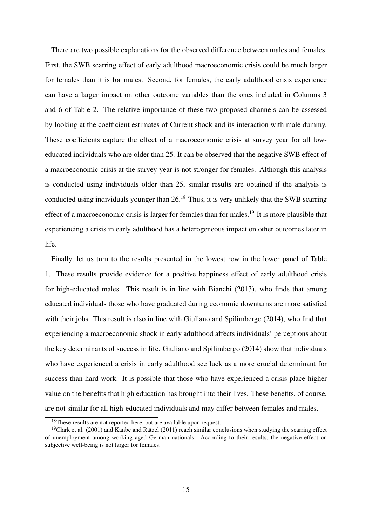There are two possible explanations for the observed difference between males and females. First, the SWB scarring effect of early adulthood macroeconomic crisis could be much larger for females than it is for males. Second, for females, the early adulthood crisis experience can have a larger impact on other outcome variables than the ones included in Columns 3 and 6 of Table 2. The relative importance of these two proposed channels can be assessed by looking at the coefficient estimates of Current shock and its interaction with male dummy. These coefficients capture the effect of a macroeconomic crisis at survey year for all loweducated individuals who are older than 25. It can be observed that the negative SWB effect of a macroeconomic crisis at the survey year is not stronger for females. Although this analysis is conducted using individuals older than 25, similar results are obtained if the analysis is conducted using individuals younger than  $26<sup>18</sup>$  Thus, it is very unlikely that the SWB scarring effect of a macroeconomic crisis is larger for females than for males.<sup>19</sup> It is more plausible that experiencing a crisis in early adulthood has a heterogeneous impact on other outcomes later in life.

Finally, let us turn to the results presented in the lowest row in the lower panel of Table 1. These results provide evidence for a positive happiness effect of early adulthood crisis for high-educated males. This result is in line with Bianchi (2013), who finds that among educated individuals those who have graduated during economic downturns are more satisfied with their jobs. This result is also in line with Giuliano and Spilimbergo (2014), who find that experiencing a macroeconomic shock in early adulthood affects individuals' perceptions about the key determinants of success in life. Giuliano and Spilimbergo (2014) show that individuals who have experienced a crisis in early adulthood see luck as a more crucial determinant for success than hard work. It is possible that those who have experienced a crisis place higher value on the benefits that high education has brought into their lives. These benefits, of course, are not similar for all high-educated individuals and may differ between females and males.

<sup>&</sup>lt;sup>18</sup>These results are not reported here, but are available upon request.

<sup>&</sup>lt;sup>19</sup>Clark et al. (2001) and Kanbe and Rätzel (2011) reach similar conclusions when studying the scarring effect of unemployment among working aged German nationals. According to their results, the negative effect on subjective well-being is not larger for females.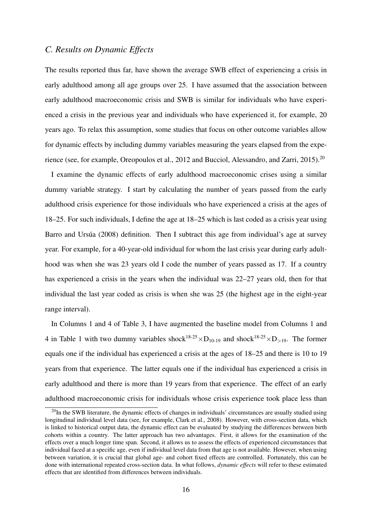#### *C. Results on Dynamic Effects*

The results reported thus far, have shown the average SWB effect of experiencing a crisis in early adulthood among all age groups over 25. I have assumed that the association between early adulthood macroeconomic crisis and SWB is similar for individuals who have experienced a crisis in the previous year and individuals who have experienced it, for example, 20 years ago. To relax this assumption, some studies that focus on other outcome variables allow for dynamic effects by including dummy variables measuring the years elapsed from the experience (see, for example, Oreopoulos et al., 2012 and Bucciol, Alessandro, and Zarri, 2015).<sup>20</sup>

I examine the dynamic effects of early adulthood macroeconomic crises using a similar dummy variable strategy. I start by calculating the number of years passed from the early adulthood crisis experience for those individuals who have experienced a crisis at the ages of 18–25. For such individuals, I define the age at 18–25 which is last coded as a crisis year using Barro and Ursúa (2008) definition. Then I subtract this age from individual's age at survey year. For example, for a 40-year-old individual for whom the last crisis year during early adulthood was when she was 23 years old I code the number of years passed as 17. If a country has experienced a crisis in the years when the individual was 22–27 years old, then for that individual the last year coded as crisis is when she was 25 (the highest age in the eight-year range interval).

In Columns 1 and 4 of Table 3, I have augmented the baseline model from Columns 1 and 4 in Table 1 with two dummy variables shock<sup>18-25</sup> $\times$ D<sub>10-19</sub> and shock<sup>18-25</sup> $\times$ D<sub>>19</sub>. The former equals one if the individual has experienced a crisis at the ages of 18–25 and there is 10 to 19 years from that experience. The latter equals one if the individual has experienced a crisis in early adulthood and there is more than 19 years from that experience. The effect of an early adulthood macroeconomic crisis for individuals whose crisis experience took place less than

 $^{20}$ In the SWB literature, the dynamic effects of changes in individuals' circumstances are usually studied using longitudinal individual level data (see, for example, Clark et al., 2008). However, with cross-section data, which is linked to historical output data, the dynamic effect can be evaluated by studying the differences between birth cohorts within a country. The latter approach has two advantages. First, it allows for the examination of the effects over a much longer time span. Second, it allows us to assess the effects of experienced circumstances that individual faced at a specific age, even if individual level data from that age is not available. However, when using between variation, it is crucial that global age- and cohort fixed effects are controlled. Fortunately, this can be done with international repeated cross-section data. In what follows, *dynamic effects* will refer to these estimated effects that are identified from differences between individuals.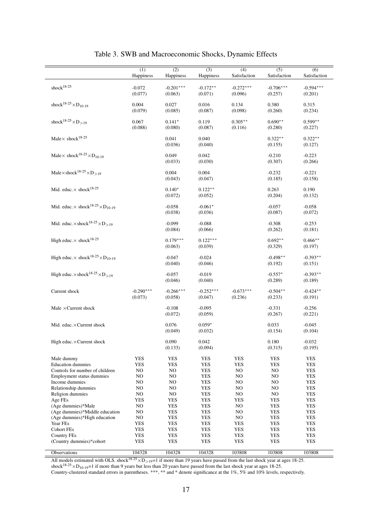|                                                                         | (1)         | $\overline{(2)}$ | (3)              | (4)          | $\overline{(5)}$    | $\overline{(6)}$    |
|-------------------------------------------------------------------------|-------------|------------------|------------------|--------------|---------------------|---------------------|
|                                                                         | Happiness   | Happiness        | Happiness        | Satisfaction | Satisfaction        | Satisfaction        |
| shock $18-25$                                                           | $-0.072$    | $-0.201***$      | $-0.172**$       | $-0.272***$  | $-0.706***$         | $-0.594***$         |
|                                                                         | (0.077)     | (0.063)          | (0.071)          | (0.096)      | (0.257)             | (0.201)             |
|                                                                         |             |                  |                  |              |                     |                     |
| shock <sup>18-25</sup> $\times$ D <sub>10-19</sub>                      | 0.004       | 0.027            | 0.016            | 0.134        | 0.380               | 0.315               |
|                                                                         | (0.079)     | (0.085)          | (0.087)          | (0.098)      | (0.260)             | (0.234)             |
|                                                                         |             |                  |                  |              |                     |                     |
| shock <sup>18-25</sup> $\times$ D <sub>&gt;19</sub>                     | 0.067       | $0.141*$         | 0.119            | $0.305***$   | $0.690**$           | $0.599**$           |
|                                                                         | (0.088)     | (0.080)          | (0.087)          | (0.116)      | (0.280)             | (0.227)             |
| Male $\times$ shock <sup>18-25</sup>                                    |             | 0.041            | 0.040            |              | $0.322**$           | $0.322**$           |
|                                                                         |             | (0.036)          | (0.040)          |              | (0.155)             | (0.127)             |
|                                                                         |             |                  |                  |              |                     |                     |
| Male $\times$ shock <sup>18-25</sup> $\times$ D <sub>10-19</sub>        |             | 0.049            | 0.042            |              | $-0.210$            | $-0.223$            |
|                                                                         |             | (0.033)          | (0.030)          |              | (0.307)             | (0.266)             |
| Male $\times$ shock <sup>18-25</sup> $\times$ D $>$ 19                  |             | 0.004            | 0.004            |              |                     |                     |
|                                                                         |             | (0.043)          | (0.047)          |              | $-0.232$<br>(0.185) | $-0.221$<br>(0.158) |
|                                                                         |             |                  |                  |              |                     |                     |
| Mid. educ. $\times$ shock <sup>18-25</sup>                              |             | $0.140*$         | $0.122**$        |              | 0.263               | 0.190               |
|                                                                         |             | (0.072)          | (0.052)          |              | (0.204)             | (0.132)             |
|                                                                         |             |                  |                  |              |                     |                     |
| Mid. educ. $\times$ shock <sup>18-25</sup> $\times$ D <sub>10-19</sub>  |             | $-0.058$         | $-0.061*$        |              | $-0.057$            | $-0.058$            |
|                                                                         |             | (0.038)          | (0.036)          |              | (0.087)             | (0.072)             |
| Mid. educ. $\times$ shock <sup>18-25</sup> $\times$ D <sub>&gt;19</sub> |             | $-0.099$         | $-0.088$         |              | $-0.308$            | $-0.253$            |
|                                                                         |             | (0.084)          | (0.066)          |              | (0.262)             | (0.181)             |
|                                                                         |             |                  |                  |              |                     |                     |
| High educ. $\times$ shock <sup>18-25</sup>                              |             | $0.179***$       | $0.122***$       |              | $0.692**$           | $0.466**$           |
|                                                                         |             | (0.063)          | (0.039)          |              | (0.329)             | (0.197)             |
|                                                                         |             |                  |                  |              |                     |                     |
| High educ. $\times$ shock <sup>18-25</sup> $\times$ D <sub>10-19</sub>  |             | $-0.047$         | $-0.024$         |              | $-0.498**$          | $-0.393**$          |
|                                                                         |             | (0.040)          | (0.046)          |              | (0.192)             | (0.151)             |
| High educ. $\times$ shock <sup>18-25</sup> $\times$ D <sub>&gt;19</sub> |             | $-0.057$         | $-0.019$         |              | $-0.557*$           | $-0.393**$          |
|                                                                         |             | (0.046)          | (0.040)          |              | (0.289)             | (0.189)             |
|                                                                         |             |                  |                  |              |                     |                     |
| Current shock                                                           | $-0.290***$ | $-0.266***$      | $-0.252***$      | $-0.673***$  | $-0.504**$          | $-0.424**$          |
|                                                                         | (0.073)     | (0.058)          | (0.047)          | (0.236)      | (0.233)             | (0.191)             |
| Male $\times$ Current shock                                             |             | $-0.108$         | $-0.095$         |              | $-0.331$            | $-0.256$            |
|                                                                         |             | (0.072)          | (0.059)          |              | (0.267)             | (0.221)             |
|                                                                         |             |                  |                  |              |                     |                     |
| Mid. educ.×Current shock                                                |             | 0.076            | $0.059*$         |              | 0.033               | $-0.045$            |
|                                                                         |             | (0.049)          | (0.032)          |              | (0.154)             | (0.104)             |
|                                                                         |             |                  |                  |              |                     |                     |
| High educ. $\times$ Current shock                                       |             | 0.090            | 0.042<br>(0.094) |              | 0.180               | $-0.032$<br>(0.195) |
|                                                                         |             | (0.133)          |                  |              | (0.315)             |                     |
| Male dummy                                                              | <b>YES</b>  | <b>YES</b>       | <b>YES</b>       | YES          | <b>YES</b>          | <b>YES</b>          |
| <b>Education dummies</b>                                                | <b>YES</b>  | YES              | YES              | YES          | <b>YES</b>          | YES                 |
| Controls for number of children                                         | NO          | NO               | <b>YES</b>       | NO           | NO                  | YES                 |
| Employment status dummies                                               | NO          | NO               | YES              | NO           | NO.                 | YES                 |
| Income dummies                                                          | NO          | NO               | <b>YES</b>       | NO           | NO                  | YES                 |
| Relationship dummies                                                    | NO.         | NO.              | YES              | NO           | NO                  | YES                 |
| Religion dummies                                                        | NO.         | NO               | <b>YES</b>       | NO           | NO                  | <b>YES</b>          |
| Age FEs                                                                 | YES         | <b>YES</b>       | <b>YES</b>       | YES          | <b>YES</b>          | YES                 |
| (Age dummies)*Male<br>(Age dummies)*Middle education                    | NO<br>NO.   | YES<br>YES       | YES<br>YES       | NO<br>NO     | YES<br>YES          | YES<br>YES          |
| (Age dummies)*High education                                            | NO          | <b>YES</b>       | <b>YES</b>       | NO           | <b>YES</b>          | YES                 |
| Year FEs                                                                | <b>YES</b>  | <b>YES</b>       | <b>YES</b>       | <b>YES</b>   | <b>YES</b>          | <b>YES</b>          |
| <b>Cohort FEs</b>                                                       | YES         | <b>YES</b>       | YES              | YES          | YES                 | YES                 |
| <b>Country FEs</b>                                                      | YES         | YES              | YES              | YES          | <b>YES</b>          | YES                 |
| (Country dummies)*cohort                                                | YES         | YES              | YES              | YES          | <b>YES</b>          | YES                 |
|                                                                         |             |                  |                  |              |                     |                     |
| Observations                                                            | 104328      | 104328           | 104328           | 103808       | 103808              | 103808              |

| Table 3. SWB and Macroeconomic Shocks, Dynamic Effects |
|--------------------------------------------------------|
|--------------------------------------------------------|

All models estimated with OLS. shock<sup>18-25</sup> $\times$ D $>19=1$  if more than 19 years have passed from the last shock year at ages 18-25. shock<sup>18-25</sup> $\times$ D<sub>10-19</sub>=1 if more than 9 years but less than 20 years have passed from the last shock year at ages 18-25. Country-clustered standard errors in parentheses. \*\*\*, \*\* and \* denote significance at the 1%, 5% and 10% levels, respectively.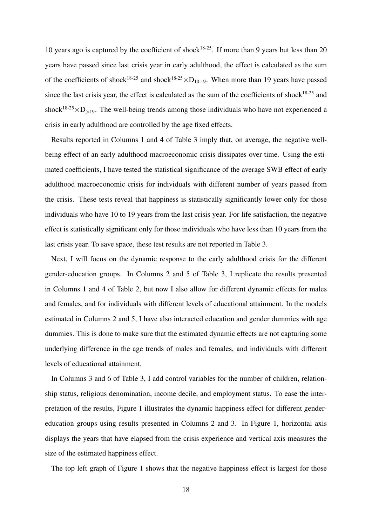10 years ago is captured by the coefficient of shock<sup>18-25</sup>. If more than 9 years but less than 20 years have passed since last crisis year in early adulthood, the effect is calculated as the sum of the coefficients of shock<sup>18-25</sup> and shock<sup>18-25</sup>  $\times$ D<sub>10-19</sub>. When more than 19 years have passed since the last crisis year, the effect is calculated as the sum of the coefficients of shock $18-25$  and shock<sup>18-25</sup> $\times$ D<sub>>19</sub>. The well-being trends among those individuals who have not experienced a crisis in early adulthood are controlled by the age fixed effects.

Results reported in Columns 1 and 4 of Table 3 imply that, on average, the negative wellbeing effect of an early adulthood macroeconomic crisis dissipates over time. Using the estimated coefficients, I have tested the statistical significance of the average SWB effect of early adulthood macroeconomic crisis for individuals with different number of years passed from the crisis. These tests reveal that happiness is statistically significantly lower only for those individuals who have 10 to 19 years from the last crisis year. For life satisfaction, the negative effect is statistically significant only for those individuals who have less than 10 years from the last crisis year. To save space, these test results are not reported in Table 3.

Next, I will focus on the dynamic response to the early adulthood crisis for the different gender-education groups. In Columns 2 and 5 of Table 3, I replicate the results presented in Columns 1 and 4 of Table 2, but now I also allow for different dynamic effects for males and females, and for individuals with different levels of educational attainment. In the models estimated in Columns 2 and 5, I have also interacted education and gender dummies with age dummies. This is done to make sure that the estimated dynamic effects are not capturing some underlying difference in the age trends of males and females, and individuals with different levels of educational attainment.

In Columns 3 and 6 of Table 3, I add control variables for the number of children, relationship status, religious denomination, income decile, and employment status. To ease the interpretation of the results, Figure 1 illustrates the dynamic happiness effect for different gendereducation groups using results presented in Columns 2 and 3. In Figure 1, horizontal axis displays the years that have elapsed from the crisis experience and vertical axis measures the size of the estimated happiness effect.

The top left graph of Figure 1 shows that the negative happiness effect is largest for those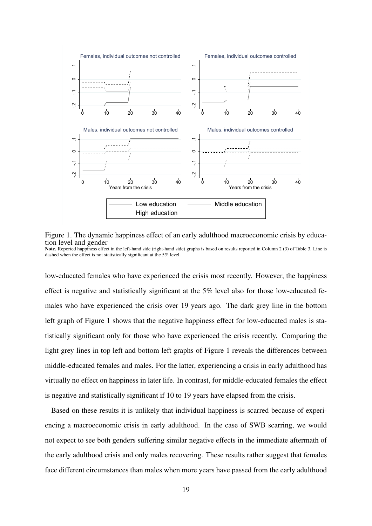

Figure 1. The dynamic happiness effect of an early adulthood macroeconomic crisis by education level and gender

Note. Reported happiness effect in the left-hand side (right-hand side) graphs is based on results reported in Column 2 (3) of Table 3. Line is dashed when the effect is not statistically significant at the 5% level.

low-educated females who have experienced the crisis most recently. However, the happiness effect is negative and statistically significant at the 5% level also for those low-educated females who have experienced the crisis over 19 years ago. The dark grey line in the bottom left graph of Figure 1 shows that the negative happiness effect for low-educated males is statistically significant only for those who have experienced the crisis recently. Comparing the light grey lines in top left and bottom left graphs of Figure 1 reveals the differences between middle-educated females and males. For the latter, experiencing a crisis in early adulthood has virtually no effect on happiness in later life. In contrast, for middle-educated females the effect is negative and statistically significant if 10 to 19 years have elapsed from the crisis.

Based on these results it is unlikely that individual happiness is scarred because of experiencing a macroeconomic crisis in early adulthood. In the case of SWB scarring, we would not expect to see both genders suffering similar negative effects in the immediate aftermath of the early adulthood crisis and only males recovering. These results rather suggest that females face different circumstances than males when more years have passed from the early adulthood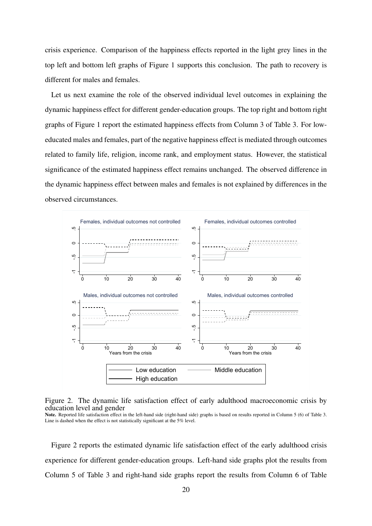crisis experience. Comparison of the happiness effects reported in the light grey lines in the top left and bottom left graphs of Figure 1 supports this conclusion. The path to recovery is different for males and females.

Let us next examine the role of the observed individual level outcomes in explaining the dynamic happiness effect for different gender-education groups. The top right and bottom right graphs of Figure 1 report the estimated happiness effects from Column 3 of Table 3. For loweducated males and females, part of the negative happiness effect is mediated through outcomes related to family life, religion, income rank, and employment status. However, the statistical significance of the estimated happiness effect remains unchanged. The observed difference in the dynamic happiness effect between males and females is not explained by differences in the observed circumstances.





Note. Reported life satisfaction effect in the left-hand side (right-hand side) graphs is based on results reported in Column 5 (6) of Table 3. Line is dashed when the effect is not statistically significant at the 5% level.

Figure 2 reports the estimated dynamic life satisfaction effect of the early adulthood crisis experience for different gender-education groups. Left-hand side graphs plot the results from Column 5 of Table 3 and right-hand side graphs report the results from Column 6 of Table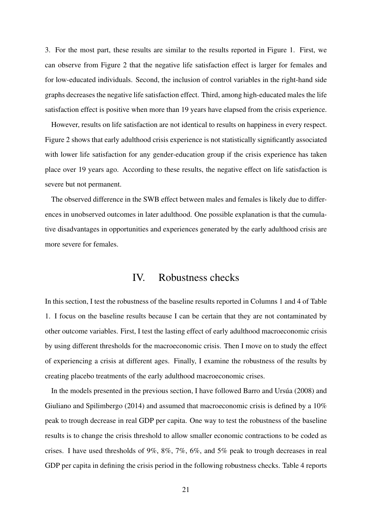3. For the most part, these results are similar to the results reported in Figure 1. First, we can observe from Figure 2 that the negative life satisfaction effect is larger for females and for low-educated individuals. Second, the inclusion of control variables in the right-hand side graphs decreases the negative life satisfaction effect. Third, among high-educated males the life satisfaction effect is positive when more than 19 years have elapsed from the crisis experience.

However, results on life satisfaction are not identical to results on happiness in every respect. Figure 2 shows that early adulthood crisis experience is not statistically significantly associated with lower life satisfaction for any gender-education group if the crisis experience has taken place over 19 years ago. According to these results, the negative effect on life satisfaction is severe but not permanent.

The observed difference in the SWB effect between males and females is likely due to differences in unobserved outcomes in later adulthood. One possible explanation is that the cumulative disadvantages in opportunities and experiences generated by the early adulthood crisis are more severe for females.

## IV. Robustness checks

In this section, I test the robustness of the baseline results reported in Columns 1 and 4 of Table 1. I focus on the baseline results because I can be certain that they are not contaminated by other outcome variables. First, I test the lasting effect of early adulthood macroeconomic crisis by using different thresholds for the macroeconomic crisis. Then I move on to study the effect of experiencing a crisis at different ages. Finally, I examine the robustness of the results by creating placebo treatments of the early adulthood macroeconomic crises.

In the models presented in the previous section, I have followed Barro and Ursua (2008) and Giuliano and Spilimbergo (2014) and assumed that macroeconomic crisis is defined by a 10% peak to trough decrease in real GDP per capita. One way to test the robustness of the baseline results is to change the crisis threshold to allow smaller economic contractions to be coded as crises. I have used thresholds of 9%, 8%, 7%, 6%, and 5% peak to trough decreases in real GDP per capita in defining the crisis period in the following robustness checks. Table 4 reports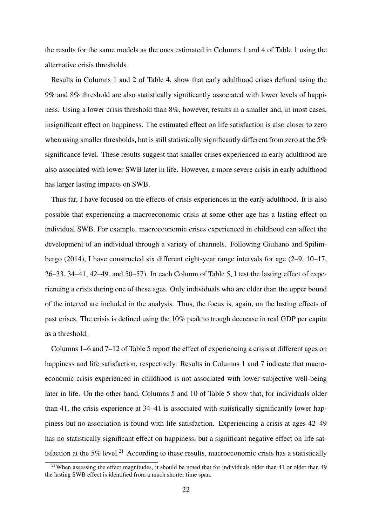the results for the same models as the ones estimated in Columns 1 and 4 of Table 1 using the alternative crisis thresholds.

Results in Columns 1 and 2 of Table 4, show that early adulthood crises defined using the 9% and 8% threshold are also statistically significantly associated with lower levels of happiness. Using a lower crisis threshold than 8%, however, results in a smaller and, in most cases, insignificant effect on happiness. The estimated effect on life satisfaction is also closer to zero when using smaller thresholds, but is still statistically significantly different from zero at the 5% significance level. These results suggest that smaller crises experienced in early adulthood are also associated with lower SWB later in life. However, a more severe crisis in early adulthood has larger lasting impacts on SWB.

Thus far, I have focused on the effects of crisis experiences in the early adulthood. It is also possible that experiencing a macroeconomic crisis at some other age has a lasting effect on individual SWB. For example, macroeconomic crises experienced in childhood can affect the development of an individual through a variety of channels. Following Giuliano and Spilimbergo (2014), I have constructed six different eight-year range intervals for age (2–9, 10–17, 26–33, 34–41, 42–49, and 50–57). In each Column of Table 5, I test the lasting effect of experiencing a crisis during one of these ages. Only individuals who are older than the upper bound of the interval are included in the analysis. Thus, the focus is, again, on the lasting effects of past crises. The crisis is defined using the 10% peak to trough decrease in real GDP per capita as a threshold.

Columns 1–6 and 7–12 of Table 5 report the effect of experiencing a crisis at different ages on happiness and life satisfaction, respectively. Results in Columns 1 and 7 indicate that macroeconomic crisis experienced in childhood is not associated with lower subjective well-being later in life. On the other hand, Columns 5 and 10 of Table 5 show that, for individuals older than 41, the crisis experience at 34–41 is associated with statistically significantly lower happiness but no association is found with life satisfaction. Experiencing a crisis at ages 42–49 has no statistically significant effect on happiness, but a significant negative effect on life satisfaction at the 5% level.<sup>21</sup> According to these results, macroeconomic crisis has a statistically

<sup>&</sup>lt;sup>21</sup>When assessing the effect magnitudes, it should be noted that for individuals older than 41 or older than 49 the lasting SWB effect is identified from a much shorter time span.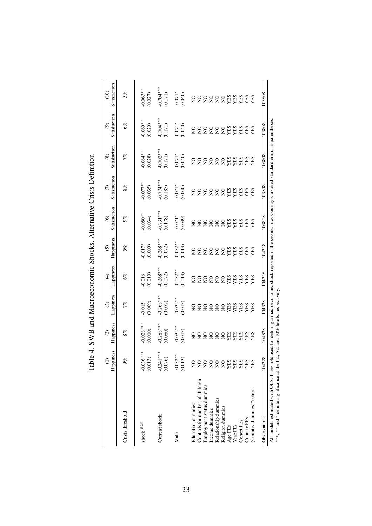|                                                                                                                                                                                                             | Happiness<br>$\equiv$                         | Happiness<br>$\odot$                | Happiness<br>⊙         | Happiness<br>E        | Happiness<br>$\widehat{\odot}$ | Satisfaction<br>ତି      | Satisfaction           | Satisfaction<br>$\circledast$ | Satisfaction<br>ම             | Satisfaction<br>(10)   |
|-------------------------------------------------------------------------------------------------------------------------------------------------------------------------------------------------------------|-----------------------------------------------|-------------------------------------|------------------------|-----------------------|--------------------------------|-------------------------|------------------------|-------------------------------|-------------------------------|------------------------|
| Crisis threshold                                                                                                                                                                                            | $9\%$                                         | $8\%$                               | 7%                     | $6\%$                 | $5\%$                          | $9\%$                   | $8\%$                  | 7%                            | $6\%$                         | $5\%$                  |
| $shock^{18-25}$                                                                                                                                                                                             | $-0.036***$<br>(0.013)                        | $0.028***$<br>(0.010)               | (0.009)<br>0.015       | $0.016$<br>$0.010$    | $0.017*0.009$                  | $-0.080**$<br>$(0.034)$ | $-0.077**$<br>(0.035)  | $-0.064**$<br>(0.028)         | $0.069**$<br>(0.029)          | $0.063**$<br>(0.027)   |
| Current shock                                                                                                                                                                                               | $-0.241***$<br>(0.076)                        | $-0.288***$<br>(0.080)              | $-0.268***$<br>(0.072) | $0.268***$<br>(0.072) | $0.268***$<br>(0.072)          | $-0.731***$<br>(0.178)  | $-0.774***$<br>(0.185) | $-0.702***$<br>(0.171)        | $-0.704***$<br>(0.171)        | $-0.704***$<br>(0.171) |
| Male                                                                                                                                                                                                        | $-0.032**$<br>(0.013)                         | $-0.032**$<br>(0.013)               | $-0.032**$<br>(0.013)  | $0.032***$<br>(0.013) | $0.032***$<br>(0.013)          | $0.071*$<br>(0.039)     | $-0.071*$              | $-0.071*0.000$                | $-0.071*$<br>(0.040)          | $-0.071*$              |
| Controls for number of children<br>Education dummies                                                                                                                                                        | $\frac{1}{2}$<br>$_{\rm Z}^{\rm O}$           |                                     |                        |                       |                                |                         |                        |                               | 8<br>82222233333<br>822223333 |                        |
| Employment status dummies<br>Income dummies                                                                                                                                                                 | $\rm _{Z}^{\rm O}$<br>$\overline{\mathsf{S}}$ |                                     |                        |                       |                                |                         |                        |                               |                               |                        |
| Relationship dummies<br>Religion dummies                                                                                                                                                                    | $\overline{S}$<br>$\overline{S}$              |                                     |                        |                       |                                |                         |                        |                               |                               |                        |
| Age FEs                                                                                                                                                                                                     | YES                                           |                                     |                        |                       |                                |                         |                        |                               |                               |                        |
| Cohort FEs<br>Year FEs                                                                                                                                                                                      | <b>SHA</b><br>YES                             |                                     |                        |                       |                                |                         |                        |                               |                               |                        |
| Country FEs                                                                                                                                                                                                 | YES                                           |                                     |                        |                       |                                |                         |                        |                               |                               |                        |
| (Country dummies)*cohort                                                                                                                                                                                    | XES                                           |                                     |                        |                       |                                |                         |                        |                               |                               |                        |
| Observations                                                                                                                                                                                                | 104328                                        | 104328                              | 104328                 | 104328                | 104328                         | 103808                  | 103808                 | 103808                        | 103808                        | 103808                 |
| All models estimated with OLS. Threshold used for defining a macroeconomic shock reported in the second row. Country-clustered standard errors in parentheses<br>***, ** and * denote significance at the 1 |                                               | 1%, 5% and 10% levels, respectively |                        |                       |                                |                         |                        |                               |                               |                        |

Table 4. SWB and Macroeconomic Shocks, Alternative Crisis Definition Table 4. SWB and Macroeconomic Shocks, Alternative Crisis Definition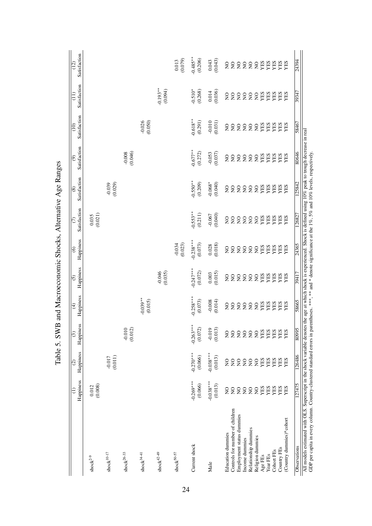|                                                                                                                                                                                                                                                                                                                                                | Happiness<br>€                        | Happiness<br>$\circ$   | Happiness<br>$\overline{3}$ | Happiness<br>$\widehat{f}$ | Happiness<br>$\overline{5}$  | Happiness<br>$\widehat{\mathbf{e}}$      | Satisfaction<br>$\widehat{\sigma}$ | Satisfaction<br>$\circledast$ | Satisfaction<br>$\circledcirc$ | Satisfaction<br>$\frac{1}{2}$ | Satisfaction<br>E              | Satisfaction<br>$\overline{(12)}$          |
|------------------------------------------------------------------------------------------------------------------------------------------------------------------------------------------------------------------------------------------------------------------------------------------------------------------------------------------------|---------------------------------------|------------------------|-----------------------------|----------------------------|------------------------------|------------------------------------------|------------------------------------|-------------------------------|--------------------------------|-------------------------------|--------------------------------|--------------------------------------------|
| ${\rm shock}^{2\text{-}9}$                                                                                                                                                                                                                                                                                                                     | (0.008)<br>0.012                      |                        |                             |                            |                              |                                          | (0.021)<br>0.035                   |                               |                                |                               |                                |                                            |
| ${\rm shock}^{10\text{--}17}$                                                                                                                                                                                                                                                                                                                  |                                       | (0.011)<br>$-0.017$    |                             |                            |                              |                                          |                                    | $-0.039$<br>(0.029)           |                                |                               |                                |                                            |
| ${\rm shock}^{26\textnormal{-}33}$                                                                                                                                                                                                                                                                                                             |                                       |                        | $-0.010$<br>(0.012)         |                            |                              |                                          |                                    |                               | $-0.008$<br>$(0.046)$          |                               |                                |                                            |
| $\mathrm{shock}^{34\text{-}41}$                                                                                                                                                                                                                                                                                                                |                                       |                        |                             | $-0.039**$<br>(0.015)      |                              |                                          |                                    |                               |                                | $-0.026$<br>(0.050)           |                                |                                            |
| $\text{shock}^{42\text{-}49}$                                                                                                                                                                                                                                                                                                                  |                                       |                        |                             |                            | $-0.046$<br>$(0.035)$        |                                          |                                    |                               |                                |                               | $-0.193**$<br>(0.094)          |                                            |
| ${\rm shock}^{50\text{-}57}$                                                                                                                                                                                                                                                                                                                   |                                       |                        |                             |                            |                              | $-0.034$<br>(0.023)                      |                                    |                               |                                |                               |                                | (0.079)<br>0.013                           |
| Current shock                                                                                                                                                                                                                                                                                                                                  | $-0.269***$<br>(0.066)                | $-0.270***$<br>(0.066) | $-0.263***$<br>(0.072)      | $0.258***$<br>(0.073)      | $0.247***$<br>(0.072)        | $-0.238***$<br>(0.073)                   | $0.553**$<br>(0.211)               | $0.550**$<br>(0.209)          | $-0.677**$<br>(0.272)          | $-0.618**$<br>(0.291)         | $-0.510*$<br>(0.268)           | $0.485**$<br>(0.206)                       |
| Male                                                                                                                                                                                                                                                                                                                                           | $-0.038***$<br>(0.013)                | $-0.038***$<br>(0.013) | $-0.019$<br>(0.013)         | $-0.008$<br>(0.014)        | (0.015)<br>0.003             | (0.018)<br>0.028                         | (0.040)<br>$-0.067$                | $-0.068*$<br>(0.040)          | $-0.053$<br>(0.037)            | $-0.010$<br>(0.031)           | (0.036)<br>$0.014\,$           | (0.043)<br>0.043                           |
| Controls for number of children<br><b>Education</b> dummies                                                                                                                                                                                                                                                                                    | $\tilde{z}$<br>$\mathsf{S}$           | $\frac{1}{2}$          | $\overline{S}$              | 22222                      | $\mathsf{S}$<br>$\mathsf{S}$ | $\mathsf{S}^{\mathsf{O}}$<br>$\mathsf S$ | $\mathsf{S}$                       | $\mathsf{S}$<br>$\mathsf{S}$  | $\mathsf{S}$<br>$\mathsf{S}$   | $\mathsf{S}$                  | $\mathsf{S}$                   | 222222                                     |
| Employment status dummies                                                                                                                                                                                                                                                                                                                      | $\mathop{\mathsf{S}}$<br>$\mathsf{S}$ | 2222                   |                             |                            | 2222                         |                                          |                                    | 2222                          |                                | 22222                         | 22222                          |                                            |
| Relationship dummies<br>Income dummies                                                                                                                                                                                                                                                                                                         | $\overline{S}$                        |                        |                             |                            |                              |                                          |                                    |                               |                                |                               |                                |                                            |
| Religion dummies                                                                                                                                                                                                                                                                                                                               | $\overline{Q}$                        | $\rm _{Z}^{\rm O}$     |                             | $\mathsf{S}$               |                              |                                          |                                    |                               |                                |                               |                                |                                            |
| Year FEs<br>Age FEs                                                                                                                                                                                                                                                                                                                            | YES<br>YES                            | <b>YES</b><br>YES      | <b>SSSSSERES</b>            | <b>XES</b><br>NES          | <b>YES</b><br>YES            | <b>2222HH</b>                            | <b>SSSSSERES</b>                   | <b>EEE</b>                    | <b>SSSSER</b>                  | <b>ALES</b><br>SELA           | <b>ERS<br/>ERREX<br/>ERREX</b> | <b>REX<br/>REX<br/>REX<br/>REX<br/>REX</b> |
| Cohort FEs                                                                                                                                                                                                                                                                                                                                     | YES                                   |                        |                             | YES                        | YES                          | YES                                      |                                    |                               | XES                            | YES                           |                                |                                            |
| Country FEs                                                                                                                                                                                                                                                                                                                                    | YES                                   | <b>EES</b><br>EES      |                             | YES                        | YES                          | <b>YES</b><br>YES                        | <b>XES</b><br>NES                  | <b>YES</b><br>YES             | <b>XES</b><br>SEL              | YES                           |                                |                                            |
| (Country dummies)*cohort                                                                                                                                                                                                                                                                                                                       | YES                                   |                        |                             | YES                        | XES                          |                                          |                                    |                               |                                | YES                           |                                |                                            |
| Observations                                                                                                                                                                                                                                                                                                                                   | 127475                                | 126486                 | 80995                       | 58665                      | 39417                        | 24365                                    | 126827                             | 125842                        | 80646                          | 58467                         | 39347                          | 24394                                      |
| All models estimated with OLS. Superscript in the shock variable denotes the age at which shock is experienced. Shock is defined using 10% peak to trough decrease in real<br>GDP per capita in every column. Country-clustered standard errors in parentheses. ***, *** and * denote significance at the 1%, 5% and 10% levels, respectively. |                                       |                        |                             |                            |                              |                                          |                                    |                               |                                |                               |                                |                                            |

Table 5, SWB and Macroeconomic Shocks, Alternative Age Ranges Table 5. SWB and Macroeconomic Shocks, Alternative Age Ranges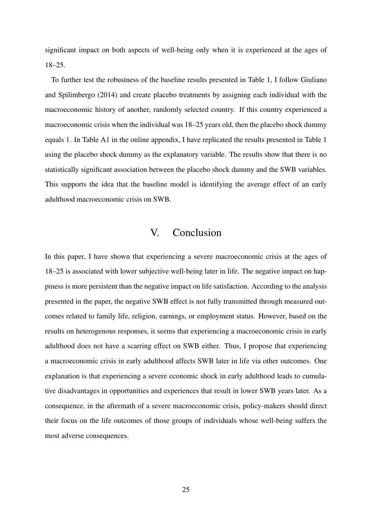significant impact on both aspects of well-being only when it is experienced at the ages of 18–25.

To further test the robustness of the baseline results presented in Table 1, I follow Giuliano and Spilimbergo (2014) and create placebo treatments by assigning each individual with the macroeconomic history of another, randomly selected country. If this country experienced a macroeconomic crisis when the individual was 18–25 years old, then the placebo shock dummy equals 1. In Table A1 in the online appendix, I have replicated the results presented in Table 1 using the placebo shock dummy as the explanatory variable. The results show that there is no statistically significant association between the placebo shock dummy and the SWB variables. This supports the idea that the baseline model is identifying the average effect of an early adulthood macroeconomic crisis on SWB.

## V. Conclusion

In this paper, I have shown that experiencing a severe macroeconomic crisis at the ages of 18–25 is associated with lower subjective well-being later in life. The negative impact on happiness is more persistent than the negative impact on life satisfaction. According to the analysis presented in the paper, the negative SWB effect is not fully transmitted through measured outcomes related to family life, religion, earnings, or employment status. However, based on the results on heterogenous responses, it seems that experiencing a macroeconomic crisis in early adulthood does not have a scarring effect on SWB either. Thus, I propose that experiencing a macroeconomic crisis in early adulthood affects SWB later in life via other outcomes. One explanation is that experiencing a severe economic shock in early adulthood leads to cumulative disadvantages in opportunities and experiences that result in lower SWB years later. As a consequence, in the aftermath of a severe macroeconomic crisis, policy-makers should direct their focus on the life outcomes of those groups of individuals whose well-being suffers the most adverse consequences.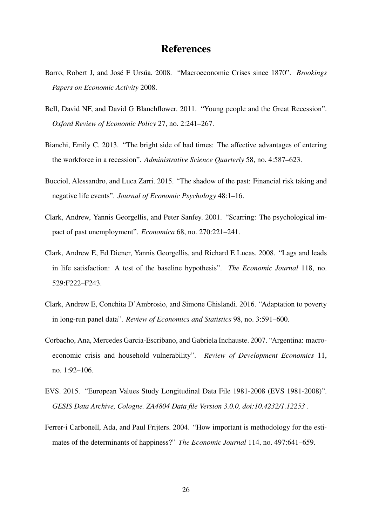## References

- Barro, Robert J, and José F Ursúa. 2008. "Macroeconomic Crises since 1870". *Brookings Papers on Economic Activity* 2008.
- Bell, David NF, and David G Blanchflower. 2011. "Young people and the Great Recession". *Oxford Review of Economic Policy* 27, no. 2:241–267.
- Bianchi, Emily C. 2013. "The bright side of bad times: The affective advantages of entering the workforce in a recession". *Administrative Science Quarterly* 58, no. 4:587–623.
- Bucciol, Alessandro, and Luca Zarri. 2015. "The shadow of the past: Financial risk taking and negative life events". *Journal of Economic Psychology* 48:1–16.
- Clark, Andrew, Yannis Georgellis, and Peter Sanfey. 2001. "Scarring: The psychological impact of past unemployment". *Economica* 68, no. 270:221–241.
- Clark, Andrew E, Ed Diener, Yannis Georgellis, and Richard E Lucas. 2008. "Lags and leads in life satisfaction: A test of the baseline hypothesis". *The Economic Journal* 118, no. 529:F222–F243.
- Clark, Andrew E, Conchita D'Ambrosio, and Simone Ghislandi. 2016. "Adaptation to poverty in long-run panel data". *Review of Economics and Statistics* 98, no. 3:591–600.
- Corbacho, Ana, Mercedes Garcia-Escribano, and Gabriela Inchauste. 2007. "Argentina: macroeconomic crisis and household vulnerability". *Review of Development Economics* 11, no. 1:92–106.
- EVS. 2015. "European Values Study Longitudinal Data File 1981-2008 (EVS 1981-2008)". *GESIS Data Archive, Cologne. ZA4804 Data file Version 3.0.0, doi:10.4232/1.12253* .
- Ferrer-i Carbonell, Ada, and Paul Frijters. 2004. "How important is methodology for the estimates of the determinants of happiness?" *The Economic Journal* 114, no. 497:641–659.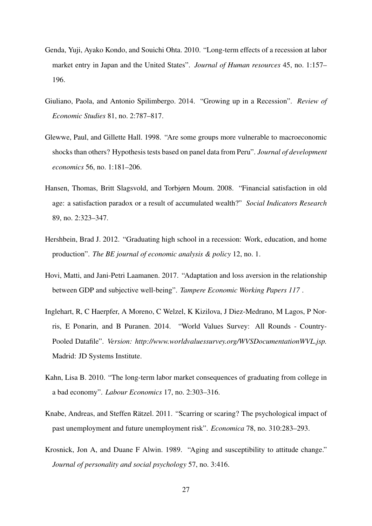- Genda, Yuji, Ayako Kondo, and Souichi Ohta. 2010. "Long-term effects of a recession at labor market entry in Japan and the United States". *Journal of Human resources* 45, no. 1:157– 196.
- Giuliano, Paola, and Antonio Spilimbergo. 2014. "Growing up in a Recession". *Review of Economic Studies* 81, no. 2:787–817.
- Glewwe, Paul, and Gillette Hall. 1998. "Are some groups more vulnerable to macroeconomic shocks than others? Hypothesis tests based on panel data from Peru". *Journal of development economics* 56, no. 1:181–206.
- Hansen, Thomas, Britt Slagsvold, and Torbjørn Moum. 2008. "Financial satisfaction in old age: a satisfaction paradox or a result of accumulated wealth?" *Social Indicators Research* 89, no. 2:323–347.
- Hershbein, Brad J. 2012. "Graduating high school in a recession: Work, education, and home production". *The BE journal of economic analysis & policy* 12, no. 1.
- Hovi, Matti, and Jani-Petri Laamanen. 2017. "Adaptation and loss aversion in the relationship between GDP and subjective well-being". *Tampere Economic Working Papers 117* .
- Inglehart, R, C Haerpfer, A Moreno, C Welzel, K Kizilova, J Diez-Medrano, M Lagos, P Norris, E Ponarin, and B Puranen. 2014. "World Values Survey: All Rounds - Country-Pooled Datafile". *Version: http://www.worldvaluessurvey.org/WVSDocumentationWVL.jsp.* Madrid: JD Systems Institute.
- Kahn, Lisa B. 2010. "The long-term labor market consequences of graduating from college in a bad economy". *Labour Economics* 17, no. 2:303–316.
- Knabe, Andreas, and Steffen Rätzel. 2011. "Scarring or scaring? The psychological impact of past unemployment and future unemployment risk". *Economica* 78, no. 310:283–293.
- Krosnick, Jon A, and Duane F Alwin. 1989. "Aging and susceptibility to attitude change." *Journal of personality and social psychology* 57, no. 3:416.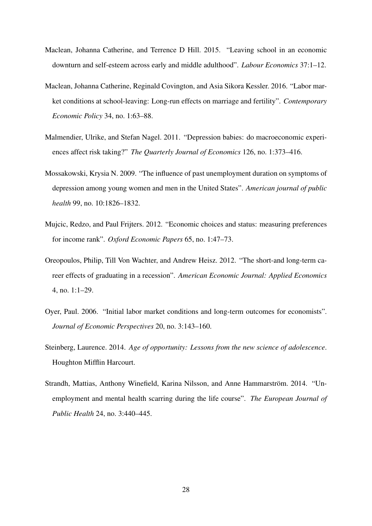- Maclean, Johanna Catherine, and Terrence D Hill. 2015. "Leaving school in an economic downturn and self-esteem across early and middle adulthood". *Labour Economics* 37:1–12.
- Maclean, Johanna Catherine, Reginald Covington, and Asia Sikora Kessler. 2016. "Labor market conditions at school-leaving: Long-run effects on marriage and fertility". *Contemporary Economic Policy* 34, no. 1:63–88.
- Malmendier, Ulrike, and Stefan Nagel. 2011. "Depression babies: do macroeconomic experiences affect risk taking?" *The Quarterly Journal of Economics* 126, no. 1:373–416.
- Mossakowski, Krysia N. 2009. "The influence of past unemployment duration on symptoms of depression among young women and men in the United States". *American journal of public health* 99, no. 10:1826–1832.
- Mujcic, Redzo, and Paul Frijters. 2012. "Economic choices and status: measuring preferences for income rank". *Oxford Economic Papers* 65, no. 1:47–73.
- Oreopoulos, Philip, Till Von Wachter, and Andrew Heisz. 2012. "The short-and long-term career effects of graduating in a recession". *American Economic Journal: Applied Economics* 4, no. 1:1–29.
- Oyer, Paul. 2006. "Initial labor market conditions and long-term outcomes for economists". *Journal of Economic Perspectives* 20, no. 3:143–160.
- Steinberg, Laurence. 2014. *Age of opportunity: Lessons from the new science of adolescence*. Houghton Mifflin Harcourt.
- Strandh, Mattias, Anthony Winefield, Karina Nilsson, and Anne Hammarström. 2014. "Unemployment and mental health scarring during the life course". *The European Journal of Public Health* 24, no. 3:440–445.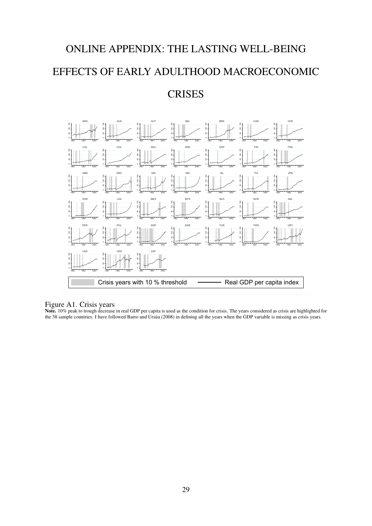# ONLINE APPENDIX: THE LASTING WELL-BEING EFFECTS OF EARLY ADULTHOOD MACROECONOMIC

## **CRISES**



#### Figure A1. Crisis years

Note. 10% peak to trough decrease in real GDP per capita is used as the condition for crisis. The years considered as crisis are highlighted for the 38 sample countries. I have followed Barro and Ursúa (2008) in defining all the years when the GDP variable is missing as crisis years.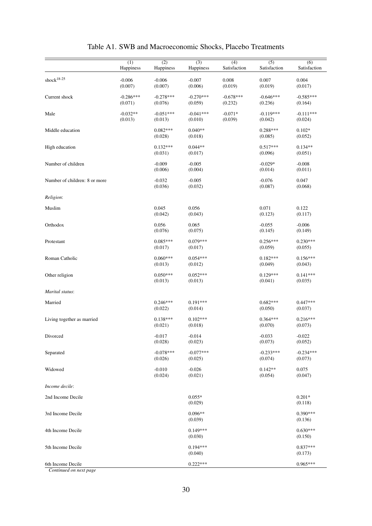|                               | (1)<br>Happiness       | (2)<br>Happiness       | (3)<br>Happiness       | (4)<br>Satisfaction    | (5)<br>Satisfaction    | (6)<br>Satisfaction    |
|-------------------------------|------------------------|------------------------|------------------------|------------------------|------------------------|------------------------|
| shock $18-25$                 | $-0.006$<br>(0.007)    | $-0.006$<br>(0.007)    | $-0.007$<br>(0.006)    | 0.008<br>(0.019)       | 0.007<br>(0.019)       | 0.004<br>(0.017)       |
| Current shock                 | $-0.286***$<br>(0.071) | $-0.278***$<br>(0.076) | $-0.270***$<br>(0.059) | $-0.678***$<br>(0.232) | $-0.646***$<br>(0.236) | $-0.585***$<br>(0.164) |
| Male                          | $-0.032**$<br>(0.013)  | $-0.051***$<br>(0.013) | $-0.041***$<br>(0.010) | $-0.071*$<br>(0.039)   | $-0.119***$<br>(0.042) | $-0.111***$<br>(0.024) |
| Middle education              |                        | $0.082***$<br>(0.028)  | $0.040**$<br>(0.018)   |                        | $0.288***$<br>(0.085)  | $0.102*$<br>(0.052)    |
| High education                |                        | $0.132***$<br>(0.031)  | $0.044**$<br>(0.017)   |                        | $0.517***$<br>(0.096)  | $0.134**$<br>(0.051)   |
| Number of children            |                        | $-0.009$<br>(0.006)    | $-0.005$<br>(0.004)    |                        | $-0.029*$<br>(0.014)   | $-0.008$<br>(0.011)    |
| Number of children: 8 or more |                        | $-0.032$<br>(0.036)    | $-0.005$<br>(0.032)    |                        | $-0.076$<br>(0.087)    | 0.047<br>(0.068)       |
| Religion:                     |                        |                        |                        |                        |                        |                        |
| Muslim                        |                        | 0.045<br>(0.042)       | 0.056<br>(0.043)       |                        | 0.071<br>(0.123)       | 0.122<br>(0.117)       |
| Orthodox                      |                        | 0.056<br>(0.076)       | 0.065<br>(0.075)       |                        | $-0.055$<br>(0.145)    | $-0.006$<br>(0.149)    |
| Protestant                    |                        | $0.085***$<br>(0.017)  | $0.079***$<br>(0.017)  |                        | $0.256***$<br>(0.059)  | $0.230***$<br>(0.055)  |
| Roman Catholic                |                        | $0.060***$<br>(0.013)  | $0.054***$<br>(0.012)  |                        | $0.182***$<br>(0.049)  | $0.156***$<br>(0.043)  |
| Other religion                |                        | $0.050***$<br>(0.013)  | $0.052***$<br>(0.013)  |                        | $0.129***$<br>(0.041)  | $0.141***$<br>(0.035)  |
| Marital status:               |                        |                        |                        |                        |                        |                        |
| Married                       |                        | $0.246***$<br>(0.022)  | $0.191***$<br>(0.014)  |                        | $0.682***$<br>(0.050)  | $0.447***$<br>(0.037)  |
| Living together as married    |                        | $0.138***$<br>(0.021)  | $0.102***$<br>(0.018)  |                        | $0.364***$<br>(0.070)  | $0.216***$<br>(0.073)  |
| Divorced                      |                        | $-0.017$<br>(0.028)    | $-0.014$<br>(0.023)    |                        | $-0.033$<br>(0.073)    | $-0.022$<br>(0.052)    |
| Separated                     |                        | $-0.078***$<br>(0.026) | $-0.077***$<br>(0.025) |                        | $-0.233***$<br>(0.074) | $-0.234***$<br>(0.073) |
| Widowed                       |                        | $-0.010$<br>(0.024)    | $-0.026$<br>(0.021)    |                        | $0.142**$<br>(0.054)   | 0.075<br>(0.047)       |
| Income decile:                |                        |                        |                        |                        |                        |                        |
| 2nd Income Decile             |                        |                        | $0.055*$<br>(0.029)    |                        |                        | $0.201*$<br>(0.118)    |
| 3rd Income Decile             |                        |                        | $0.096**$<br>(0.039)   |                        |                        | $0.390***$<br>(0.136)  |
| 4th Income Decile             |                        |                        | $0.149***$<br>(0.030)  |                        |                        | $0.630***$<br>(0.150)  |
| 5th Income Decile             |                        |                        | $0.194***$<br>(0.040)  |                        |                        | $0.837***$<br>(0.173)  |
| 6th Income Decile             |                        |                        | $0.222***$             |                        |                        | $0.965***$             |

| Table A1. SWB and Macroeconomic Shocks, Placebo Treatments |  |  |  |
|------------------------------------------------------------|--|--|--|
|------------------------------------------------------------|--|--|--|

*Continued on next page*